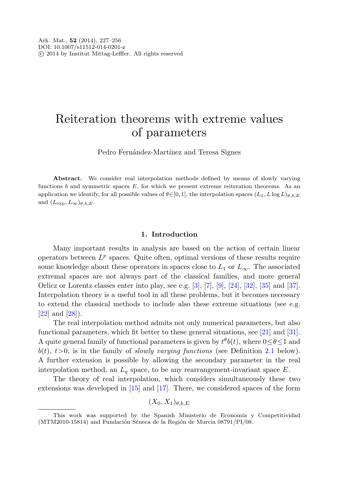# Reiteration theorems with extreme values of parameters

Pedro Fernández-Martínez and Teresa Signes

Abstract. We consider real interpolation methods defined by means of slowly varying functions b and symmetric spaces  $E$ , for which we present extreme reiteration theorems. As an application we identify, for all possible values of  $\theta \in [0, 1]$ , the interpolation spaces  $(L_1, L \log L)_{\theta, b, E}$ and  $(L_{\text{exp}}, L_{\infty})_{\theta, b, E}$ .

### **1. Introduction**

Many important results in analysis are based on the action of certain linear operators between  $L^p$  spaces. Quite often, optimal versions of these results require some knowledge about these operators in spaces close to  $L_1$  or  $L_{\infty}$ . The associated extremal spaces are not always part of the classical families, and more general Orlicz or Lorentz classes enter into play, see e.g.  $[3]$  $[3]$ ,  $[7]$  $[7]$ ,  $[9]$  $[9]$ ,  $[24]$  $[24]$ ,  $[32]$  $[32]$ ,  $[35]$  $[35]$  and  $[37]$  $[37]$ . Interpolation theory is a useful tool in all these problems, but it becomes necessary to extend the classical methods to include also these extreme situations (see e.g. [\[22](#page-29-4)] and [\[28](#page-29-5)]).

The real interpolation method admits not only numerical parameters, but also functional parameters, which fit better to these general situations, see [[21\]](#page-29-6) and [[31\]](#page-29-7). A quite general family of functional parameters is given by  $t^{\theta}b(t)$ , where  $0 \le \theta \le 1$  and  $b(t), t>0$ , is in the family of *slowly varying functions* (see Definition [2.1](#page-5-0) below). A further extension is possible by allowing the secondary parameter in the real interpolation method, an  $L_q$  space, to be any rearrangement-invariant space E.

The theory of real interpolation, which considers simultaneously these two extensions was developed in [\[15](#page-28-3)] and [\[17](#page-28-4)]. There, we considered spaces of the form

 $(X_0, X_1)_{\theta,b,E}$ 

This work was supported by the Spanish Ministerio de Economía y Competitividad (MTM2010-15814) and Fundación Séneca de la Región de Murcia  $08791/PI/08$ .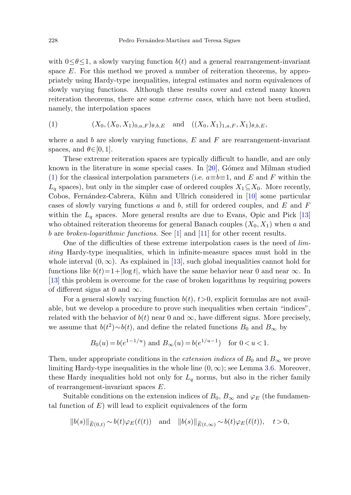<span id="page-1-0"></span>with  $0 \leq \theta \leq 1$ , a slowly varying function  $b(t)$  and a general rearrangement-invariant space E. For this method we proved a number of reiteration theorems, by appropriately using Hardy-type inequalities, integral estimates and norm equivalences of slowly varying functions. Although these results cover and extend many known reiteration theorems, there are some extreme cases, which have not been studied, namely, the interpolation spaces

(1) 
$$
(X_0, (X_0, X_1)_{0,a,F})_{\theta,b,E}
$$
 and  $((X_0, X_1)_{1,a,F}, X_1)_{\theta,b,E}$ ,

where a and b are slowly varying functions,  $E$  and  $F$  are rearrangement-invariant spaces, and  $\theta \in [0, 1]$ .

These extreme reiteration spaces are typically difficult to handle, and are only known in the literature in some special cases. In  $[20]$  $[20]$ , Gómez and Milman studied ([1](#page-1-0)) for the classical interpolation parameters (i.e.  $a \equiv b \equiv 1$ , and E and F within the  $L_q$  spaces), but only in the simpler case of ordered couples  $X_1 \subseteq X_0$ . More recently, Cobos, Fernández-Cabrera, Kühn and Ullrich considered in [[10](#page-28-6)] some particular cases of slowly varying functions  $a$  and  $b$ , still for ordered couples, and  $E$  and  $F$ within the  $L_q$  spaces. More general results are due to Evans, Opic and Pick [[13\]](#page-28-7) who obtained reiteration theorems for general Banach couples  $(X_0, X_1)$  when a and b are *broken-logarithmic functions*. See  $[1]$  $[1]$  and  $[11]$  $[11]$  for other recent results.

One of the difficulties of these extreme interpolation cases is the need of limiting Hardy-type inequalities, which in infinite-measure spaces must hold in the whole interval  $(0, \infty)$ . As explained in [\[13\]](#page-28-7), such global inequalities cannot hold for functions like  $b(t)=1+|\log t|$ , which have the same behavior near 0 and near ∞. In [\[13](#page-28-7)] this problem is overcome for the case of broken logarithms by requiring powers of different signs at 0 and  $\infty$ .

For a general slowly varying function  $b(t)$ ,  $t>0$ , explicit formulas are not available, but we develop a procedure to prove such inequalities when certain "indices", related with the behavior of  $b(t)$  near 0 and  $\infty$ , have different signs. More precisely, we assume that  $b(t^2) \sim b(t)$ , and define the related functions  $B_0$  and  $B_{\infty}$  by

$$
B_0(u) = b(e^{1-1/u})
$$
 and  $B_{\infty}(u) = b(e^{1/u-1})$  for  $0 < u < 1$ .

Then, under appropriate conditions in the *extension indices* of  $B_0$  and  $B_{\infty}$  we prove limiting Hardy-type inequalities in the whole line  $(0, \infty)$ ; see Lemma [3.6](#page-12-0). Moreover, these Hardy inequalities hold not only for  $L_q$  norms, but also in the richer family of rearrangement-invariant spaces E.

Suitable conditions on the extension indices of  $B_0$ ,  $B_{\infty}$  and  $\varphi_E$  (the fundamental function of  $E$ ) will lead to explicit equivalences of the form

$$
||b(s)||_{\widetilde{E}(0,t)} \sim b(t)\varphi_E(\ell(t)) \quad \text{and} \quad ||b(s)||_{\widetilde{E}(t,\infty)} \sim b(t)\varphi_E(\ell(t)), \quad t > 0,
$$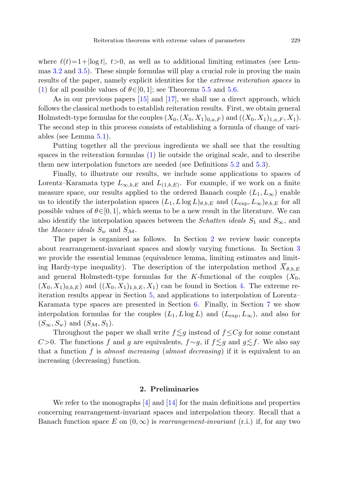where  $\ell(t)=1+|\log t|$ ,  $t>0$ , as well as to additional limiting estimates (see Lemmas [3.2](#page-7-0) and [3.5\)](#page-10-0). These simple formulas will play a crucial role in proving the main results of the paper, namely explicit identities for the extreme reiteration spaces in [\(1](#page-1-0)) for all possible values of  $\theta \in [0, 1]$ ; see Theorems [5.5](#page-20-0) and [5.6](#page-21-0).

As in our previous papers [[15\]](#page-28-3) and [\[17](#page-28-4)], we shall use a direct approach, which follows the classical methods to establish reiteration results. First, we obtain general Holmstedt-type formulas for the couples  $(X_0,(X_0,X_1)_{0,a,F})$  and  $((X_0,X_1)_{1,a,F},X_1)$ . The second step in this process consists of establishing a formula of change of variables (see Lemma [5.1\)](#page-18-0).

Putting together all the previous ingredients we shall see that the resulting spaces in the reiteration formulas [\(1](#page-1-0)) lie outside the original scale, and to describe them new interpolation functors are needed (see Definitions [5.2](#page-19-0) and [5.3](#page-19-1)).

Finally, to illustrate our results, we include some applications to spaces of Lorentz–Karamata type  $L_{\infty,b,E}$  and  $L_{(1,b,E)}$ . For example, if we work on a finite measure space, our results applied to the ordered Banach couple  $(L_1, L_\infty)$  enable us to identify the interpolation spaces  $(L_1, L \log L)_{\theta, b, E}$  and  $(L_{\text{exp}}, L_{\infty})_{\theta, b, E}$  for all possible values of  $\theta \in [0, 1]$ , which seems to be a new result in the literature. We can also identify the interpolation spaces between the *Schatten ideals*  $S_1$  and  $S_{\infty}$ , and the *Macaev ideals*  $S_w$  and  $S_M$ .

The paper is organized as follows. In Section [2](#page-2-0) we review basic concepts about rearrangement-invariant spaces and slowly varying functions. In Section [3](#page-6-0) we provide the essential lemmas (equivalence lemma, limiting estimates and limiting Hardy-type inequality). The description of the interpolation method  $X_{\theta,b,E}$ and general Holmstedt-type formulas for the K-functional of the couples  $(X_0,$  $(X_0, X_1)_{0,b,E}$  and  $((X_0, X_1)_{1,b,E}, X_1)$  can be found in Section [4.](#page-14-0) The extreme reiteration results appear in Section [5,](#page-17-0) and applications to interpolation of Lorentz– Karamata type spaces are presented in Section [6](#page-23-0). Finally, in Section [7](#page-25-0) we show interpolation formulas for the couples  $(L_1, L \log L)$  and  $(L_{\exp}, L_{\infty})$ , and also for  $(S_{\infty}, S_w)$  and  $(S_{\mathcal{M}}, S_1)$ .

<span id="page-2-0"></span>Throughout the paper we shall write  $f \lesssim g$  instead of  $f \leq Cg$  for some constant C>0. The functions f and g are equivalents,  $f \sim g$ , if  $f \lesssim g$  and  $g \lesssim f$ . We also say that a function f is almost increasing (almost decreasing) if it is equivalent to an increasing (decreasing) function.

## **2. Preliminaries**

We refer to the monographs  $[4]$  $[4]$  and  $[14]$  $[14]$  for the main definitions and properties concerning rearrangement-invariant spaces and interpolation theory. Recall that a Banach function space E on  $(0, \infty)$  is *rearrangement-invariant* (r.i.) if, for any two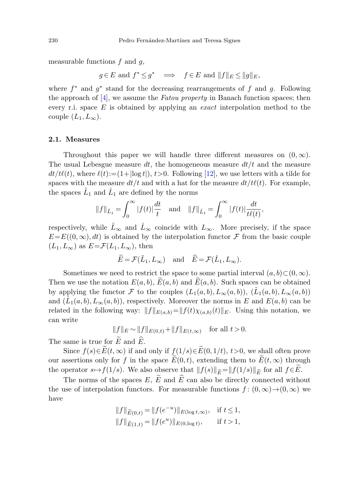measurable functions  $f$  and  $g$ ,

 $q \in E$  and  $f^* \leq g^* \implies f \in E$  and  $||f||_E \leq ||g||_E$ ,

where  $f^*$  and  $g^*$  stand for the decreasing rearrangements of f and q. Following the approach of  $[4]$  $[4]$ , we assume the *Fatou property* in Banach function spaces; then every r.i. space  $E$  is obtained by applying an *exact* interpolation method to the couple  $(L_1, L_\infty)$ .

#### **2.1. Measures**

Throughout this paper we will handle three different measures on  $(0, \infty)$ . The usual Lebesgue measure dt, the homogeneous measure  $dt/t$  and the measure  $dt/t\ell(t)$ , where  $\ell(t):=(1+|\log t|), t>0$ . Following [\[12](#page-28-12)], we use letters with a tilde for spaces with the measure  $dt/t$  and with a hat for the measure  $dt/t\ell(t)$ . For example, the spaces  $\tilde{L}_1$  and  $\tilde{L}_1$  are defined by the norms

$$
||f||_{\tilde{L}_1} = \int_0^\infty |f(t)| \frac{dt}{t}
$$
 and  $||f||_{\hat{L}_1} = \int_0^\infty |f(t)| \frac{dt}{t\ell(t)},$ 

respectively, while  $\tilde{L}_{\infty}$  and  $\tilde{L}_{\infty}$  coincide with  $L_{\infty}$ . More precisely, if the space  $E=E((0,\infty), dt)$  is obtained by the interpolation functor F from the basic couple  $(L_1, L_{\infty})$  as  $E = \mathcal{F}(L_1, L_{\infty})$ , then

$$
\widetilde{E} = \mathcal{F}(\widetilde{L}_1, L_\infty)
$$
 and  $\widehat{E} = \mathcal{F}(\widehat{L}_1, L_\infty)$ .

Sometimes we need to restrict the space to some partial interval  $(a, b) \subset (0, \infty)$ . Then we use the notation  $E(a, b)$ ,  $\widetilde{E}(a, b)$  and  $\widehat{E}(a, b)$ . Such spaces can be obtained by applying the functor F to the couples  $(L_1(a, b), L_\infty(a, b)), (\tilde{L}_1(a, b), L_\infty(a, b))$ and  $(L_1(a, b), L_\infty(a, b))$ , respectively. Moreover the norms in E and  $E(a, b)$  can be related in the following way:  $||f||_{E(a,b)}=||f(t)\chi_{(a,b)}(t)||_E$ . Using this notation, we can write

$$
||f||_E \sim ||f||_{E(0,t)} + ||f||_{E(t,\infty)} \text{ for all } t > 0.
$$

The same is true for  $\widetilde{E}$  and  $\widehat{E}$ .

Since  $f(s) \in \widetilde{E}(t, \infty)$  if and only if  $f(1/s) \in \widetilde{E}(0, 1/t)$ ,  $t > 0$ , we shall often prove our assertions only for f in the space  $E(0, t)$ , extending them to  $E(t, \infty)$  through the operator  $s \mapsto f(1/s)$ . We also observe that  $||f(s)||_{\widetilde{E}} = ||f(1/s)||_{\widetilde{E}}$  for all  $f \in \widetilde{E}$ .

The norms of the spaces E,  $\widetilde{E}$  and  $\widehat{E}$  can also be directly connected without the use of interpolation functors. For measurable functions  $f : (0, \infty) \to (0, \infty)$  we have

$$
||f||_{\widetilde{E}(0,t)} = ||f(e^{-u})||_{E(\log t,\infty)}, \text{ if } t \le 1,
$$
  

$$
||f||_{\widetilde{E}(1,t)} = ||f(e^u)||_{E(0,\log t)}, \text{ if } t > 1,
$$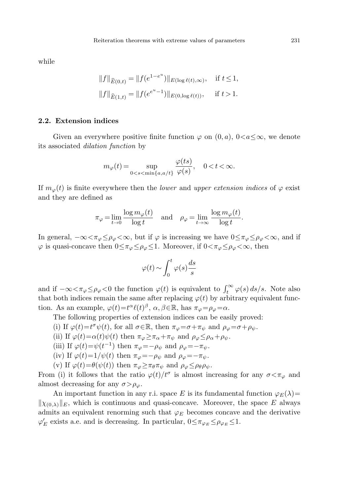while

$$
||f||_{\widehat{E}(0,t)} = ||f(e^{1-e^u})||_{E(\log \ell(t), \infty)}, \text{ if } t \le 1,
$$
  

$$
||f||_{\widehat{E}(1,t)} = ||f(e^{e^u - 1})||_{E(0,\log \ell(t))}, \text{ if } t > 1.
$$

# **2.2. Extension indices**

Given an everywhere positive finite function  $\varphi$  on  $(0, a)$ ,  $0 < a \leq \infty$ , we denote its associated dilation function by

$$
m_{\varphi}(t) = \sup_{0 < s < \min\{a, a/t\}} \frac{\varphi(ts)}{\varphi(s)}, \quad 0 < t < \infty.
$$

If  $m_{\varphi}(t)$  is finite everywhere then the *lower* and *upper extension indices* of  $\varphi$  exist and they are defined as

$$
\pi_{\varphi} = \lim_{t \to 0} \frac{\log m_{\varphi}(t)}{\log t} \quad \text{and} \quad \rho_{\varphi} = \lim_{t \to \infty} \frac{\log m_{\varphi}(t)}{\log t}.
$$

In general,  $-\infty < \pi_{\varphi} \leq \rho_{\varphi} < \infty$ , but if  $\varphi$  is increasing we have  $0 \leq \pi_{\varphi} \leq \rho_{\varphi} < \infty$ , and if  $\varphi$  is quasi-concave then  $0 \leq \pi_{\varphi} \leq \rho_{\varphi} \leq 1$ . Moreover, if  $0 < \pi_{\varphi} \leq \rho_{\varphi} < \infty$ , then

$$
\varphi(t)\sim \int_0^t \varphi(s)\frac{ds}{s}
$$

and if  $-\infty < \pi_{\varphi} \le \rho_{\varphi} < 0$  the function  $\varphi(t)$  is equivalent to  $\int_t^{\infty} \varphi(s) ds/s$ . Note also that both indices remain the same after replacing  $\varphi(t)$  by arbitrary equivalent function. As an example,  $\varphi(t) = t^{\alpha} \ell(t)^{\beta}, \alpha, \beta \in \mathbb{R}$ , has  $\pi_{\varphi} = \rho_{\varphi} = \alpha$ .

The following properties of extension indices can be easily proved:

(i) If 
$$
\varphi(t) = t^{\sigma} \psi(t)
$$
, for all  $\sigma \in \mathbb{R}$ , then  $\pi_{\varphi} = \sigma + \pi_{\psi}$  and  $\rho_{\varphi} = \sigma + \rho_{\psi}$ .

- (ii) If  $\varphi(t) = \alpha(t)\psi(t)$  then  $\pi_{\varphi} \geq \pi_{\alpha} + \pi_{\psi}$  and  $\rho_{\varphi} \leq \rho_{\alpha} + \rho_{\psi}$ .
- (iii) If  $\varphi(t) = \psi(t^{-1})$  then  $\pi_{\varphi} = -\rho_{\psi}$  and  $\rho_{\varphi} = -\pi_{\psi}$ .
- (iv) If  $\varphi(t)=1/\psi(t)$  then  $\pi_{\varphi}=-\rho_{\psi}$  and  $\rho_{\varphi}=-\pi_{\psi}$ .
- (v) If  $\varphi(t) = \theta(\psi(t))$  then  $\pi_{\varphi} \geq \pi_{\theta} \pi_{\psi}$  and  $\rho_{\varphi} \leq \rho_{\theta} \rho_{\psi}$ .

From (i) it follows that the ratio  $\varphi(t)/t^{\sigma}$  is almost increasing for any  $\sigma < \pi_{\varphi}$  and almost decreasing for any  $\sigma > \rho_{\varphi}$ .

An important function in any r.i. space E is its fundamental function  $\varphi_E(\lambda)$ =  $\|\chi_{(0,\lambda)}\|_E$ , which is continuous and quasi-concave. Moreover, the space E always admits an equivalent renorming such that  $\varphi_E$  becomes concave and the derivative  $\varphi_E'$  exists a.e. and is decreasing. In particular,  $0 \leq \pi_{\varphi_E} \leq \rho_{\varphi_E} \leq 1$ .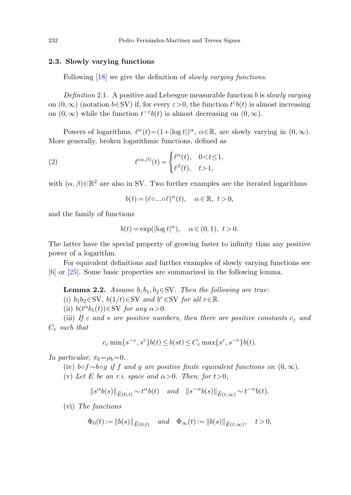# <span id="page-5-0"></span>**2.3. Slowly varying functions**

Following [[18](#page-28-13)] we give the definition of *slowly varying functions*.

Definition 2.1. A positive and Lebesgue measurable function b is slowly varying on  $(0, \infty)$  (notation  $b \in SV$ ) if, for every  $\varepsilon > 0$ , the function  $t^{\varepsilon}b(t)$  is almost increasing on  $(0, \infty)$  while the function  $t^{-\varepsilon}b(t)$  is almost decreasing on  $(0, \infty)$ .

Powers of logarithms,  $\ell^{\alpha}(t)=(1+|\log t|)^{\alpha}$ ,  $\alpha \in \mathbb{R}$ , are slowly varying in  $(0, \infty)$ . More generally, broken logarithmic functions, defined as

(2) 
$$
\ell^{(\alpha,\beta)}(t) = \begin{cases} \ell^{\alpha}(t), & 0 < t \le 1, \\ \ell^{\beta}(t), & t > 1, \end{cases}
$$

with  $(\alpha, \beta) \in \mathbb{R}^2$  are also in SV. Two further examples are the iterated logarithms

$$
b(t) = (\ell \circ \dots \circ \ell)^{\alpha}(t), \quad \alpha \in \mathbb{R}, \ t > 0,
$$

<span id="page-5-1"></span>and the family of functions

$$
b(t) = \exp(|\log t|^{\alpha}), \quad \alpha \in (0, 1), \ t > 0.
$$

The latter have the special property of growing faster to infinity than any positive power of a logarithm.

For equivalent definitions and further examples of slowly varying functions see [\[6](#page-28-14)] or [\[25](#page-29-8)]. Some basic properties are summarized in the following lemma.

**Lemma 2.2.** Assume  $b, b_1, b_2 \in SV$ . Then the following are true: (i)  $b_1b_2 \in SV$ ,  $b(1/t) \in SV$  and  $b^r \in SV$  for all  $r \in \mathbb{R}$ .

(ii)  $b(t^{\alpha}b_1(t)) \in SV$  for any  $\alpha > 0$ .

(iii) If  $\varepsilon$  and s are positive numbers, then there are positive constants  $c_{\varepsilon}$  and  $C_{\varepsilon}$  such that

$$
c_{\varepsilon} \min\{s^{-\varepsilon}, s^{\varepsilon}\} b(t) \le b(st) \le C_{\varepsilon} \max\{s^{\varepsilon}, s^{-\varepsilon}\} b(t).
$$

In particular,  $\pi_b = \rho_b = 0$ .

(iv) b∘f $\sim$ b∘g if f and g are positive finite equivalent functions on  $(0, \infty)$ .

(v) Let E be an r.i. space and  $\alpha > 0$ . Then, for  $t > 0$ ,

$$
\|s^{\alpha}b(s)\|_{\widetilde{E}(0,t)} \sim t^{\alpha}b(t) \quad \text{and} \quad \|s^{-\alpha}b(s)\|_{\widetilde{E}(t,\infty)} \sim t^{-\alpha}b(t).
$$

(vi) The functions

$$
\Phi_0(t) := ||b(s)||_{\widetilde{E}(0,t)}
$$
 and  $\Phi_{\infty}(t) := ||b(s)||_{\widetilde{E}(t,\infty)},$   $t > 0,$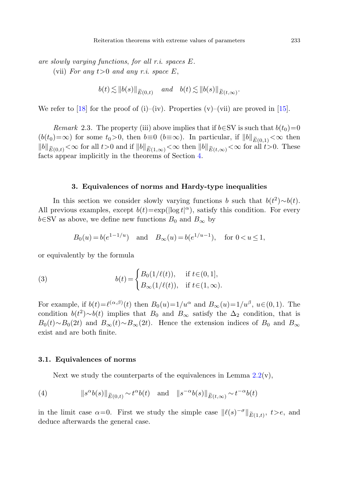are slowly varying functions, for all r.i. spaces E. (vii) For any  $t>0$  and any r.i. space E,

$$
b(t) \lesssim ||b(s)||_{\widetilde{E}(0,t)} \quad \text{and} \quad b(t) \lesssim ||b(s)||_{\widetilde{E}(t,\infty)}.
$$

We refer to [[18\]](#page-28-13) for the proof of (i)–(iv). Properties (v)–(vii) are proved in [\[15](#page-28-3)].

<span id="page-6-0"></span>*Remark* 2.3. The property (iii) above implies that if  $b \in SV$  is such that  $b(t_0)=0$  $(b(t_0)=\infty)$  for some  $t_0>0$ , then  $b\equiv 0$   $(b\equiv\infty)$ . In particular, if  $||b||_{\widetilde{E}(0,1)}<\infty$  then  $||b||_{\widetilde{E}(0,t)} < \infty$  for all  $t > 0$  and if  $||b||_{\widetilde{E}(1,\infty)} < \infty$  then  $||b||_{\widetilde{E}(t,\infty)} < \infty$  for all  $t > 0$ . These facts appear implicitly in the theorems of Section [4](#page-14-0).

#### **3. Equivalences of norms and Hardy-type inequalities**

<span id="page-6-2"></span>In this section we consider slowly varying functions b such that  $b(t^2) \sim b(t)$ . All previous examples, except  $b(t) = \exp(|\log t|^{\alpha})$ , satisfy this condition. For every  $b \in SV$  as above, we define new functions  $B_0$  and  $B_{\infty}$  by

$$
B_0(u) = b(e^{1-1/u})
$$
 and  $B_{\infty}(u) = b(e^{1/u-1})$ , for  $0 < u \le 1$ ,

or equivalently by the formula

(3) 
$$
b(t) = \begin{cases} B_0(1/\ell(t)), & \text{if } t \in (0,1], \\ B_{\infty}(1/\ell(t)), & \text{if } t \in (1,\infty). \end{cases}
$$

<span id="page-6-1"></span>For example, if  $b(t) = \ell^{(\alpha,\beta)}(t)$  then  $B_0(u) = 1/u^{\alpha}$  and  $B_{\infty}(u) = 1/u^{\beta}$ ,  $u \in (0,1)$ . The condition  $b(t^2) \sim b(t)$  implies that  $B_0$  and  $B_\infty$  satisfy the  $\Delta_2$  condition, that is  $B_0(t) \sim B_0(2t)$  and  $B_\infty(t) \sim B_\infty(2t)$ . Hence the extension indices of  $B_0$  and  $B_\infty$ exist and are both finite.

### **3.1. Equivalences of norms**

Next we study the counterparts of the equivalences in Lemma  $2.2(v)$  $2.2(v)$ ,

(4)  $||s^{\alpha}b(s)||_{\widetilde{E}(0,t)} \sim t^{\alpha}b(t)$  and  $||s^{-\alpha}b(s)||_{\widetilde{E}(t,\infty)} \sim t^{-\alpha}b(t)$ 

in the limit case  $\alpha=0$ . First we study the simple case  $\|\ell(s)^{-\sigma}\|_{\widetilde{E}(1,t)}, t>e$ , and deduce afterwards the general case.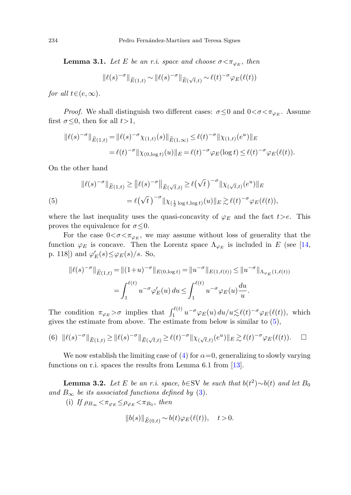<span id="page-7-2"></span>**Lemma 3.1.** Let E be an r.i. space and choose  $\sigma < \pi_{\varphi_E}$ , then

$$
\|\ell(s)^{-\sigma}\|_{\widetilde{E}(1,t)} \sim \|\ell(s)^{-\sigma}\|_{\widetilde{E}(\sqrt{t},t)} \sim \ell(t)^{-\sigma} \varphi_E(\ell(t))
$$

for all  $t \in (e, \infty)$ .

<span id="page-7-1"></span>*Proof.* We shall distinguish two different cases:  $\sigma \leq 0$  and  $0 < \sigma < \pi_{\varphi_E}$ . Assume first  $\sigma \leq 0$ , then for all  $t > 1$ ,

$$
\|\ell(s)^{-\sigma}\|_{\widetilde{E}(1,t)} = \|\ell(s)^{-\sigma}\chi_{(1,t)}(s)\|_{\widetilde{E}(1,\infty)} \le \ell(t)^{-\sigma}\|\chi_{(1,t)}(e^u)\|_E
$$
  
=  $\ell(t)^{-\sigma}\|\chi_{(0,\log t)}(u)\|_E = \ell(t)^{-\sigma}\varphi_E(\log t) \le \ell(t)^{-\sigma}\varphi_E(\ell(t)).$ 

On the other hand

(5)  

$$
\|\ell(s)^{-\sigma}\|_{\widetilde{E}(1,t)} \ge \|\ell(s)^{-\sigma}\|_{\widetilde{E}(\sqrt{t},t)} \ge \ell(\sqrt{t})^{-\sigma} \|\chi_{(\sqrt{t},t)}(e^u)\|_{E}
$$

$$
= \ell(\sqrt{t})^{-\sigma} \|\chi_{(\frac{1}{2}\log t, \log t)}(u)\|_{E} \gtrsim \ell(t)^{-\sigma} \varphi_{E}(\ell(t)),
$$

where the last inequality uses the quasi-concavity of  $\varphi_E$  and the fact  $t>e$ . This proves the equivalence for  $\sigma \leq 0$ .

<span id="page-7-3"></span>For the case  $0<\sigma<\pi_{\varphi_E}$ , we may assume without loss of generality that the function  $\varphi_E$  is concave. Then the Lorentz space  $\Lambda_{\varphi_E}$  is included in E (see [[14,](#page-28-11) p. 118]) and  $\varphi'_E(s) \leq \varphi_E(s)/s$ . So,

$$
\|\ell(s)^{-\sigma}\|_{\widetilde{E}(1,t)} = \|(1+u)^{-\sigma}\|_{E(0,\log t)} = \|u^{-\sigma}\|_{E(1,\ell(t))} \le \|u^{-\sigma}\|_{\Lambda_{\varphi_E}(1,\ell(t))}
$$

$$
= \int_1^{\ell(t)} u^{-\sigma} \varphi_E'(u) du \le \int_1^{\ell(t)} u^{-\sigma} \varphi_E(u) \frac{du}{u}.
$$

<span id="page-7-0"></span>The condition  $\pi_{\varphi_E} > \sigma$  implies that  $\int_1^{\ell(t)} u^{-\sigma} \varphi_E(u) du/u \leq \ell(t)^{-\sigma} \varphi_E(\ell(t)),$  which gives the estimate from above. The estimate from below is similar to ([5\)](#page-7-1),

$$
(6) \|\ell(s)^{-\sigma}\|_{\widetilde{E}(1,t)} \geq \|\ell(s)^{-\sigma}\|_{\widetilde{E}(\sqrt{t},t)} \geq \ell(t)^{-\sigma}\|\chi_{(\sqrt{t},t)}(e^u)\|_{E} \gtrsim \ell(t)^{-\sigma}\varphi_{E}(\ell(t)).\quad \Box
$$

We now establish the limiting case of  $(4)$  $(4)$  for  $\alpha=0$ , generalizing to slowly varying functions on r.i. spaces the results from Lemma 6.1 from [[13\]](#page-28-7).

**Lemma 3.2.** Let E be an r.i. space, b∈SV be such that  $b(t^2) \sim b(t)$  and let  $B_0$ and  $B_{\infty}$  be its associated functions defined by [\(3](#page-6-2)).

(i) If  $\rho_{B_{\infty}} < \pi_{\varphi_E} \leq \rho_{\varphi_E} < \pi_{B_0}$ , then

$$
||b(s)||_{\widetilde{E}(0,t)} \sim b(t)\varphi_E(\ell(t)), \quad t > 0.
$$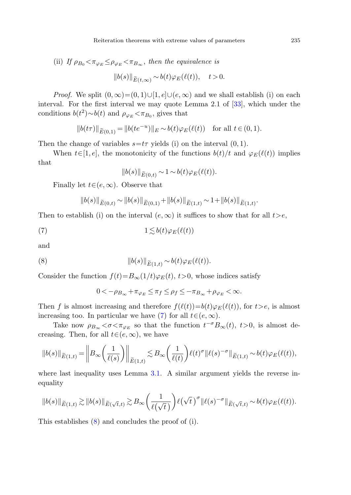(ii) If  $\rho_{B_0} < \pi_{\varphi_E} \leq \rho_{\varphi_E} < \pi_{B_\infty}$ , then the equivalence is

$$
||b(s)||_{\widetilde{E}(t,\infty)} \sim b(t)\varphi_E(\ell(t)), \quad t > 0.
$$

*Proof.* We split  $(0, \infty) = (0, 1) \cup [1, e] \cup (e, \infty)$  and we shall establish (i) on each interval. For the first interval we may quote Lemma 2.1 of [\[33](#page-29-9)], which under the conditions  $b(t^2) \sim b(t)$  and  $\rho_{\varphi_E} < \pi_{B_0}$ , gives that

$$
||b(t\tau)||_{\widetilde{E}(0,1)} = ||b(te^{-u})||_E \sim b(t)\varphi_E(\ell(t)) \text{ for all } t \in (0,1).
$$

Then the change of variables  $s=t\tau$  yields (i) on the interval  $(0, 1)$ .

<span id="page-8-0"></span>When  $t \in [1, e]$ , the monotonicity of the functions  $b(t)/t$  and  $\varphi_E(\ell(t))$  implies that

$$
||b(s)||_{\widetilde{E}(0,t)} \sim 1 \sim b(t)\varphi_E(\ell(t)).
$$

Finally let  $t \in (e, \infty)$ . Observe that

$$
||b(s)||_{\widetilde{E}(0,t)} \sim ||b(s)||_{\widetilde{E}(0,1)} + ||b(s)||_{\widetilde{E}(1,t)} \sim 1 + ||b(s)||_{\widetilde{E}(1,t)}.
$$

<span id="page-8-1"></span>Then to establish (i) on the interval  $(e, \infty)$  it suffices to show that for all  $t > e$ ,

(7) 
$$
1 \lesssim b(t)\varphi_E(\ell(t))
$$

and

(8) 
$$
||b(s)||_{\widetilde{E}(1,t)} \sim b(t)\varphi_E(\ell(t)).
$$

Consider the function  $f(t)=B_{\infty}(1/t)\varphi_{E}(t), t>0$ , whose indices satisfy

$$
0<-\rho_{B_{\infty}}+\pi_{\varphi_E}\leq \pi_f\leq \rho_f\leq -\pi_{B_{\infty}}+\rho_{\varphi_E}<\infty.
$$

Then f is almost increasing and therefore  $f(\ell(t))=b(t)\varphi_E(\ell(t))$ , for  $t>e$ , is almost increasing too. In particular we have [\(7](#page-8-0)) for all  $t \in (e, \infty)$ .

Take now  $\rho_{B_{\infty}} < \sigma < \pi_{\varphi_E}$  so that the function  $t^{-\sigma}B_{\infty}(t)$ ,  $t>0$ , is almost decreasing. Then, for all  $t \in (e, \infty)$ , we have

$$
||b(s)||_{\widetilde{E}(1,t)} = \bigg||B_{\infty}\bigg(\frac{1}{\ell(s)}\bigg)\bigg||_{\widetilde{E}(1,t)} \lesssim B_{\infty}\bigg(\frac{1}{\ell(t)}\bigg)\ell(t)^{\sigma}||\ell(s)^{-\sigma}||_{\widetilde{E}(1,t)} \sim b(t)\varphi_{E}(\ell(t)),
$$

where last inequality uses Lemma [3.1.](#page-7-2) A similar argument yields the reverse inequality

$$
||b(s)||_{\widetilde{E}(1,t)} \gtrsim ||b(s)||_{\widetilde{E}(\sqrt{t},t)} \gtrsim B_{\infty} \left(\frac{1}{\ell(\sqrt{t})}\right) \ell(\sqrt{t})^{\sigma} ||\ell(s)^{-\sigma}||_{\widetilde{E}(\sqrt{t},t)} \sim b(t)\varphi_{E}(\ell(t)).
$$

This establishes [\(8](#page-8-1)) and concludes the proof of (i).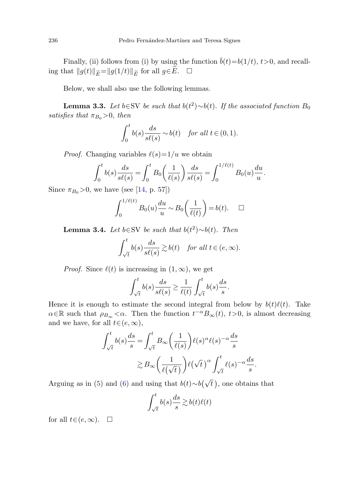<span id="page-9-0"></span>Finally, (ii) follows from (i) by using the function  $\bar{b}(t)=b(1/t)$ ,  $t>0$ , and recalling that  $||g(t)||_{\widetilde{E}}=||g(1/t)||_{\widetilde{E}}$  for all  $g\in \widetilde{E}$ .  $\square$ 

Below, we shall also use the following lemmas.

**Lemma 3.3.** Let b∈SV be such that  $b(t^2) \sim b(t)$ . If the associated function  $B_0$ satisfies that  $\pi_{B_0} > 0$ , then

$$
\int_0^t b(s) \frac{ds}{s\ell(s)} \sim b(t) \quad \text{for all } t \in (0, 1).
$$

<span id="page-9-1"></span>*Proof.* Changing variables  $\ell(s)=1/u$  we obtain

$$
\int_0^t b(s) \frac{ds}{s\ell(s)} = \int_0^t B_0 \left(\frac{1}{\ell(s)}\right) \frac{ds}{s\ell(s)} = \int_0^{1/\ell(t)} B_0(u) \frac{du}{u}.
$$

Since  $\pi_{B_0} > 0$ , we have (see [\[14](#page-28-11), p. 57])

$$
\int_0^{1/\ell(t)} B_0(u) \frac{du}{u} \sim B_0\left(\frac{1}{\ell(t)}\right) = b(t). \quad \Box
$$

**Lemma 3.4.** Let b∈SV be such that  $b(t^2) \sim b(t)$ . Then

$$
\int_{\sqrt{t}}^t b(s) \frac{ds}{s\ell(s)} \gtrsim b(t) \quad \textit{for all } t \in (e,\infty).
$$

*Proof.* Since  $\ell(t)$  is increasing in  $(1, \infty)$ , we get

$$
\int_{\sqrt{t}}^t b(s) \frac{ds}{s\ell(s)} \ge \frac{1}{\ell(t)} \int_{\sqrt{t}}^t b(s) \frac{ds}{s}.
$$

Hence it is enough to estimate the second integral from below by  $b(t)\ell(t)$ . Take  $\alpha \in \mathbb{R}$  such that  $\rho_{B_{\infty}} < \alpha$ . Then the function  $t^{-\alpha} B_{\infty}(t)$ ,  $t > 0$ , is almost decreasing and we have, for all  $t \in (e, \infty)$ ,

$$
\int_{\sqrt{t}}^{t} b(s) \frac{ds}{s} = \int_{\sqrt{t}}^{t} B_{\infty} \left( \frac{1}{\ell(s)} \right) \ell(s)^{\alpha} \ell(s)^{-\alpha} \frac{ds}{s}
$$

$$
\gtrsim B_{\infty} \left( \frac{1}{\ell(\sqrt{t})} \right) \ell(\sqrt{t})^{\alpha} \int_{\sqrt{t}}^{t} \ell(s)^{-\alpha} \frac{ds}{s}.
$$

Arguing as in ([5\)](#page-7-1) and [\(6](#page-7-3)) and using that  $b(t) \sim b(\sqrt{t})$ , one obtains that

$$
\int_{\sqrt{t}}^{t} b(s) \frac{ds}{s} \gtrsim b(t)\ell(t)
$$

for all  $t \in (e, \infty)$ .  $\Box$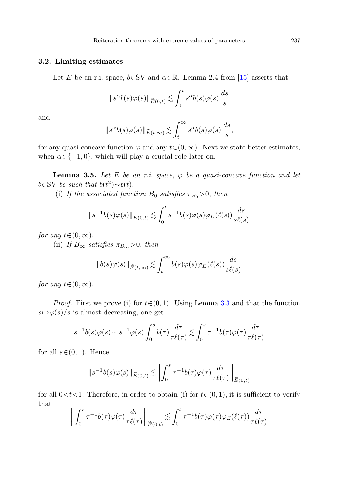# **3.2. Limiting estimates**

Let E be an r.i. space,  $b \in SV$  and  $\alpha \in \mathbb{R}$ . Lemma 2.4 from [\[15](#page-28-3)] asserts that

$$
||s^{\alpha}b(s)\varphi(s)||_{\widetilde{E}(0,t)} \lesssim \int_0^t s^{\alpha}b(s)\varphi(s)\,\frac{ds}{s}
$$

<span id="page-10-0"></span>and

$$
||s^{\alpha}b(s)\varphi(s)||_{\widetilde{E}(t,\infty)} \lesssim \int_{t}^{\infty} s^{\alpha}b(s)\varphi(s)\,\frac{ds}{s},
$$

for any quasi-concave function  $\varphi$  and any  $t \in (0, \infty)$ . Next we state better estimates, when  $\alpha \in \{-1, 0\}$ , which will play a crucial role later on.

**Lemma 3.5.** Let E be an r.i. space,  $\varphi$  be a quasi-concave function and let  $b \in SV$  be such that  $b(t^2) \sim b(t)$ .

(i) If the associated function  $B_0$  satisfies  $\pi_{B_0} > 0$ , then

$$
||s^{-1}b(s)\varphi(s)||_{\widetilde{E}(0,t)} \lesssim \int_0^t s^{-1}b(s)\varphi(s)\varphi_E(\ell(s))\frac{ds}{s\ell(s)}
$$

for any  $t \in (0, \infty)$ .

(ii) If  $B_{\infty}$  satisfies  $\pi_{B_{\infty}} > 0$ , then

$$
||b(s)\varphi(s)||_{\widetilde{E}(t,\infty)} \lesssim \int_{t}^{\infty} b(s)\varphi(s)\varphi_{E}(\ell(s)) \frac{ds}{s\ell(s)}
$$

for any  $t \in (0, \infty)$ .

*Proof.* First we prove (i) for  $t \in (0, 1)$ . Using Lemma [3.3](#page-9-0) and that the function  $s \mapsto \varphi(s)/s$  is almost decreasing, one get

$$
s^{-1}b(s)\varphi(s) \sim s^{-1}\varphi(s)\int_0^s b(\tau)\frac{d\tau}{\tau\ell(\tau)} \lesssim \int_0^s \tau^{-1}b(\tau)\varphi(\tau)\frac{d\tau}{\tau\ell(\tau)}
$$

for all  $s \in (0, 1)$ . Hence

$$
||s^{-1}b(s)\varphi(s)||_{\widetilde{E}(0,t)} \lesssim \left\| \int_0^s \tau^{-1}b(\tau)\varphi(\tau)\frac{d\tau}{\tau\ell(\tau)} \right\|_{\widetilde{E}(0,t)}
$$

for all  $0 < t < 1$ . Therefore, in order to obtain (i) for  $t \in (0, 1)$ , it is sufficient to verify that

$$
\left\| \int_0^s \tau^{-1} b(\tau) \varphi(\tau) \frac{d\tau}{\tau \ell(\tau)} \right\|_{\widetilde{E}(0,t)} \lesssim \int_0^t \tau^{-1} b(\tau) \varphi(\tau) \varphi_E(\ell(\tau)) \frac{d\tau}{\tau \ell(\tau)}
$$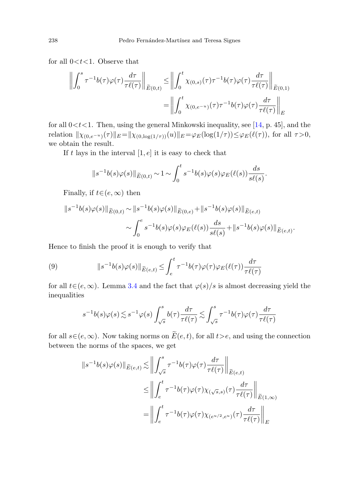for all  $0 < t < 1$ . Observe that

$$
\left\| \int_0^s \tau^{-1} b(\tau) \varphi(\tau) \frac{d\tau}{\tau \ell(\tau)} \right\|_{\widetilde{E}(0,t)} \le \left\| \int_0^t \chi_{(0,s)}(\tau) \tau^{-1} b(\tau) \varphi(\tau) \frac{d\tau}{\tau \ell(\tau)} \right\|_{\widetilde{E}(0,1)} = \left\| \int_0^t \chi_{(0,e^{-u})}(\tau) \tau^{-1} b(\tau) \varphi(\tau) \frac{d\tau}{\tau \ell(\tau)} \right\|_E
$$

for all  $0 < t < 1$ . Then, using the general Minkowski inequality, see [[14,](#page-28-11) p. 45], and the relation  $\|\chi_{(0,e^{-u})}(\tau)\|_E = \|\chi_{(0,\log(1/\tau))}(u)\|_E = \varphi_E(\log(1/\tau)) \leq \varphi_E(\ell(\tau))$ , for all  $\tau > 0$ , we obtain the result.

If t lays in the interval  $[1, e]$  it is easy to check that

$$
\|s^{-1}b(s)\varphi(s)\|_{\widetilde{E}(0,t)} \sim 1 \sim \int_0^t s^{-1}b(s)\varphi(s)\varphi_E(\ell(s))\frac{ds}{s\ell(s)}.
$$

<span id="page-11-0"></span>Finally, if  $t \in (e, \infty)$  then

$$
||s^{-1}b(s)\varphi(s)||_{\widetilde{E}(0,t)} \sim ||s^{-1}b(s)\varphi(s)||_{\widetilde{E}(0,e)} + ||s^{-1}b(s)\varphi(s)||_{\widetilde{E}(e,t)}
$$

$$
\sim \int_0^e s^{-1}b(s)\varphi(s)\varphi_E(\ell(s))\frac{ds}{s\ell(s)} + ||s^{-1}b(s)\varphi(s)||_{\widetilde{E}(e,t)}.
$$

Hence to finish the proof it is enough to verify that

(9) 
$$
||s^{-1}b(s)\varphi(s)||_{\widetilde{E}(e,t)} \leq \int_{e}^{t} \tau^{-1}b(\tau)\varphi(\tau)\varphi_{E}(\ell(\tau))\frac{d\tau}{\tau\ell(\tau)}
$$

for all  $t \in (e, \infty)$ . Lemma [3.4](#page-9-1) and the fact that  $\varphi(s)/s$  is almost decreasing yield the inequalities

$$
s^{-1}b(s)\varphi(s) \lesssim s^{-1}\varphi(s)\int_{\sqrt{s}}^{s} b(\tau)\frac{d\tau}{\tau\ell(\tau)} \lesssim \int_{\sqrt{s}}^{s} \tau^{-1}b(\tau)\varphi(\tau)\frac{d\tau}{\tau\ell(\tau)}
$$

for all  $s \in (e, \infty)$ . Now taking norms on  $\widetilde{E}(e, t)$ , for all  $t > e$ , and using the connection between the norms of the spaces, we get

$$
\|s^{-1}b(s)\varphi(s)\|_{\widetilde{E}(e,t)} \lesssim \left\| \int_{\sqrt{s}}^{s} \tau^{-1}b(\tau)\varphi(\tau) \frac{d\tau}{\tau \ell(\tau)} \right\|_{\widetilde{E}(e,t)}
$$
  

$$
\leq \left\| \int_{e}^{t} \tau^{-1}b(\tau)\varphi(\tau)\chi_{(\sqrt{s},s)}(\tau) \frac{d\tau}{\tau \ell(\tau)} \right\|_{\widetilde{E}(1,\infty)}
$$
  

$$
= \left\| \int_{e}^{t} \tau^{-1}b(\tau)\varphi(\tau)\chi_{(e^{u/2},e^{u})}(\tau) \frac{d\tau}{\tau \ell(\tau)} \right\|_{E}
$$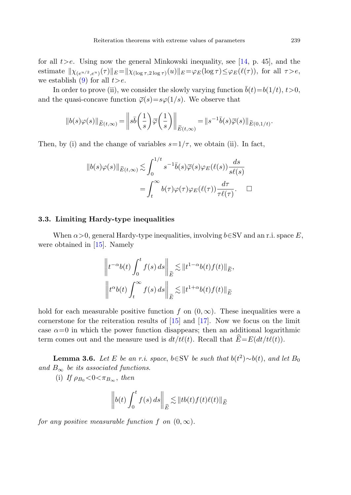for all  $t>e$ . Using now the general Minkowski inequality, see [\[14](#page-28-11), p. 45], and the estimate  $\|\chi_{(e^{u/2},e^u)}(\tau)\|_E = \|\chi_{(\log \tau,2\log \tau)}(u)\|_E = \varphi_E(\log \tau) \leq \varphi_E(\ell(\tau))$ , for all  $\tau > e$ , we establish [\(9](#page-11-0)) for all  $t > e$ .

In order to prove (ii), we consider the slowly varying function  $\bar{b}(t)=b(1/t), t>0$ , and the quasi-concave function  $\overline{\varphi}(s) = s\varphi(1/s)$ . We observe that

$$
||b(s)\varphi(s)||_{\widetilde{E}(t,\infty)} = \left||s\overline{b}\left(\frac{1}{s}\right)\overline{\varphi}\left(\frac{1}{s}\right)\right||_{\widetilde{E}(t,\infty)} = ||s^{-1}\overline{b}(s)\overline{\varphi}(s)||_{\widetilde{E}(0,1/t)}.
$$

Then, by (i) and the change of variables  $s=1/\tau$ , we obtain (ii). In fact,

$$
||b(s)\varphi(s)||_{\widetilde{E}(t,\infty)} \lesssim \int_0^{1/t} s^{-1}\overline{b}(s)\overline{\varphi}(s)\varphi_E(\ell(s)) \frac{ds}{s\ell(s)}
$$

$$
= \int_t^{\infty} b(\tau)\varphi(\tau)\varphi_E(\ell(\tau)) \frac{d\tau}{\tau\ell(\tau)}. \quad \Box
$$

#### **3.3. Limiting Hardy-type inequalities**

When  $\alpha > 0$ , general Hardy-type inequalities, involving  $b \in SV$  and an r.i. space E, were obtained in [[15\]](#page-28-3). Namely

$$
\left\|t^{-\alpha}b(t)\int_0^t f(s) ds\right\|_{\widetilde{E}} \lesssim \|t^{1-\alpha}b(t)f(t)\|_{\widetilde{E}},
$$
  

$$
\left\|t^{\alpha}b(t)\int_t^{\infty} f(s) ds\right\|_{\widetilde{E}} \lesssim \|t^{1+\alpha}b(t)f(t)\|_{\widetilde{E}}.
$$

<span id="page-12-0"></span>hold for each measurable positive function f on  $(0, \infty)$ . These inequalities were a cornerstone for the reiteration results of [\[15](#page-28-3)] and [[17\]](#page-28-4). Now we focus on the limit case  $\alpha=0$  in which the power function disappears; then an additional logarithmic term comes out and the measure used is  $dt/t\ell(t)$ . Recall that  $\widehat{E}=E(dt/t\ell(t))$ .

**Lemma 3.6.** Let E be an r.i. space, b∈SV be such that  $b(t^2) \sim b(t)$ , and let  $B_0$ and  $B_{\infty}$  be its associated functions.

(i) If  $\rho_{B_0} < 0 < \pi_{B_{\infty}}$ , then

$$
\left\| b(t) \int_0^t f(s) \, ds \right\|_{\widehat{E}} \lesssim \left\| tb(t)f(t)\ell(t) \right\|_{\widehat{E}}
$$

for any positive measurable function f on  $(0, \infty)$ .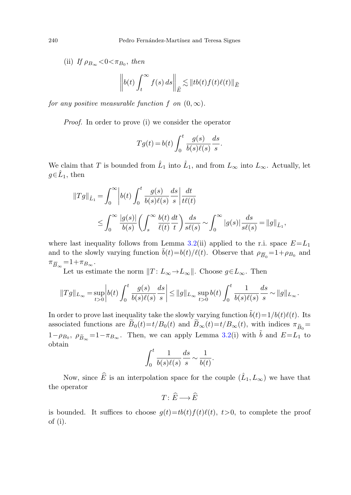(ii) If  $\rho_{B_{\infty}} < 0 < \pi_{B_0}$ , then

$$
\left\| b(t) \int_t^\infty f(s) \, ds \right\|_{\widehat{E}} \lesssim \| \operatorname{tb}(t) f(t) \ell(t) \|_{\widehat{E}}
$$

for any positive measurable function f on  $(0, \infty)$ .

Proof. In order to prove (i) we consider the operator

$$
Tg(t) = b(t) \int_0^t \frac{g(s)}{b(s)\ell(s)} \frac{ds}{s}.
$$

We claim that T is bounded from  $\hat{L}_1$  into  $\hat{L}_1$ , and from  $L_{\infty}$  into  $L_{\infty}$ . Actually, let  $q \in \hat{L}_1$ , then

$$
\begin{split} ||Tg||_{\hat{L}_1} &= \int_0^\infty \left| b(t) \int_0^t \frac{g(s)}{b(s)\ell(s)} \frac{ds}{s} \right| \frac{dt}{t\ell(t)} \\ &\leq \int_0^\infty \frac{|g(s)|}{b(s)} \left( \int_s^\infty \frac{b(t)}{\ell(t)} \frac{dt}{t} \right) \frac{ds}{s\ell(s)} \sim \int_0^\infty |g(s)| \frac{ds}{s\ell(s)} = ||g||_{\hat{L}_1}, \end{split}
$$

where last inequality follows from Lemma [3.2](#page-7-0)(ii) applied to the r.i. space  $E = L_1$ and to the slowly varying function  $\bar{b}(t)=b(t)/\ell(t)$ . Observe that  $\rho_{\overline{B}_0}=1+\rho_{B_0}$  and  $\pi_{\overline{B}_{\infty}} = 1 + \pi_{B_{\infty}}$ .

Let us estimate the norm  $||T: L_{\infty} \to L_{\infty}||$ . Choose  $g \in L_{\infty}$ . Then

$$
||Tg||_{L_{\infty}} = \sup_{t>0} \left| b(t) \int_0^t \frac{g(s)}{b(s)\ell(s)} \frac{ds}{s} \right| \le ||g||_{L_{\infty}} \sup_{t>0} b(t) \int_0^t \frac{1}{b(s)\ell(s)} \frac{ds}{s} \sim ||g||_{L_{\infty}}.
$$

In order to prove last inequality take the slowly varying function  $\tilde{b}(t)=1/b(t)\ell(t)$ . Its associated functions are  $\widetilde{B}_0(t)=t/B_0(t)$  and  $\widetilde{B}_{\infty}(t)=t/B_{\infty}(t)$ , with indices  $\pi_{\widetilde{B}_0}$  $1-\rho_{B_0}, \ \rho_{\widetilde{B}_\infty}=1-\pi_{B_\infty}.$  Then, we can apply Lemma [3.2\(](#page-7-0)i) with  $\widetilde{b}$  and  $E=L_1$  to obtain

$$
\int_0^t \frac{1}{b(s)\ell(s)} \frac{ds}{s} \sim \frac{1}{b(t)}.
$$

Now, since  $\widehat{E}$  is an interpolation space for the couple  $(\widehat{L}_1, L_\infty)$  we have that the operator

 $T: \widehat{E} \longrightarrow \widehat{E}$ 

is bounded. It suffices to choose  $g(t) = tb(t)f(t)\ell(t)$ ,  $t>0$ , to complete the proof of (i).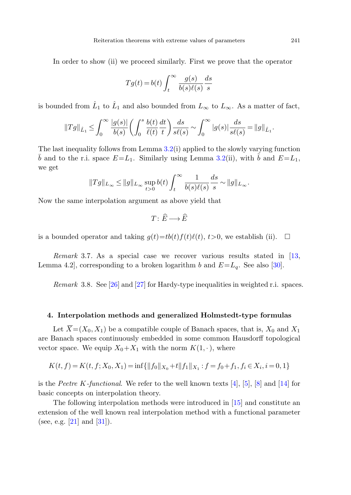In order to show (ii) we proceed similarly. First we prove that the operator

$$
Tg(t) = b(t) \int_t^{\infty} \frac{g(s)}{b(s)\ell(s)} \frac{ds}{s}
$$

is bounded from  $\hat{L}_1$  to  $\hat{L}_1$  and also bounded from  $L_{\infty}$  to  $L_{\infty}$ . As a matter of fact,

$$
||Tg||_{\hat{L}_1} \leq \int_0^\infty \frac{|g(s)|}{b(s)} \left(\int_0^s \frac{b(t)}{\ell(t)}\frac{dt}{t}\right) \frac{ds}{s\ell(s)} \sim \int_0^\infty |g(s)|\frac{ds}{s\ell(s)} = ||g||_{\hat{L}_1}.
$$

The last inequality follows from Lemma [3.2\(](#page-7-0)i) applied to the slowly varying function  $\overline{b}$  and to the r.i. space  $E=L_1$ . Similarly using Lemma [3.2\(](#page-7-0)ii), with  $b$  and  $E=L_1$ , we get

$$
||Tg||_{L_{\infty}} \le ||g||_{L_{\infty}} \sup_{t>0} b(t) \int_{t}^{\infty} \frac{1}{b(s)\ell(s)} \frac{ds}{s} \sim ||g||_{L_{\infty}}.
$$

Now the same interpolation argument as above yield that

$$
T\colon \widehat{E}\longrightarrow \widehat{E}
$$

is a bounded operator and taking  $g(t) = tb(t)f(t)\ell(t)$ ,  $t>0$ , we establish (ii).  $\Box$ 

<span id="page-14-0"></span>Remark 3.7. As a special case we recover various results stated in [[13,](#page-28-7) Lemma 4.2], corresponding to a broken logarithm b and  $E=L_q$ . See also [\[30](#page-29-10)].

Remark 3.8. See [[26\]](#page-29-11) and [[27\]](#page-29-12) for Hardy-type inequalities in weighted r.i. spaces.

#### **4. Interpolation methods and generalized Holmstedt-type formulas**

Let  $\overline{X}=(X_0, X_1)$  be a compatible couple of Banach spaces, that is,  $X_0$  and  $X_1$ are Banach spaces continuously embedded in some common Hausdorff topological vector space. We equip  $X_0+X_1$  with the norm  $K(1, \cdot)$ , where

$$
K(t, f) = K(t, f; X_0, X_1) = \inf\{\|f_0\|_{X_0} + t\|f_1\|_{X_1} : f = f_0 + f_1, f_i \in X_i, i = 0, 1\}
$$

is the Peetre K-functional. We refer to the well known texts  $[4]$  $[4]$ ,  $[5]$  $[5]$ ,  $[8]$  $[8]$  and  $[14]$  $[14]$  for basic concepts on interpolation theory.

The following interpolation methods were introduced in [[15\]](#page-28-3) and constitute an extension of the well known real interpolation method with a functional parameter (see, e.g. [\[21](#page-29-6)] and [\[31](#page-29-7)]).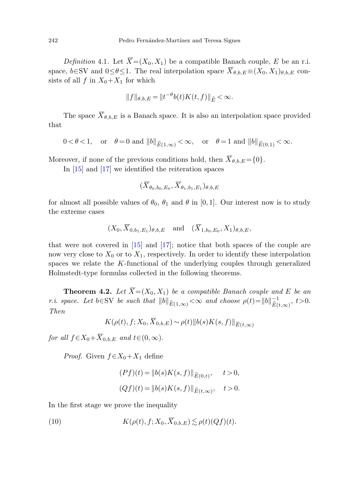*Definition* 4.1. Let  $\overline{X}=(X_0, X_1)$  be a compatible Banach couple, E be an r.i. space,  $b \in SV$  and  $0 \leq \theta \leq 1$ . The real interpolation space  $\overline{X}_{\theta, b} E \equiv (X_0, X_1)_{\theta, b, E}$  consists of all f in  $X_0+X_1$  for which

$$
||f||_{\theta,b,E} = ||t^{-\theta}b(t)K(t,f)||_{\widetilde{E}} < \infty.
$$

The space  $\overline{X}_{\theta,b,E}$  is a Banach space. It is also an interpolation space provided that

$$
0 < \theta < 1, \quad \text{or} \quad \theta = 0 \text{ and } ||b||_{\widetilde{E}(1,\infty)} < \infty, \quad \text{or} \quad \theta = 1 \text{ and } ||b||_{\widetilde{E}(0,1)} < \infty.
$$

Moreover, if none of the previous conditions hold, then  $\overline{X}_{\theta,b,E} = \{0\}.$ 

In [\[15](#page-28-3)] and [\[17](#page-28-4)] we identified the reiteration spaces

$$
(\overline{X}_{\theta_0,b_0,E_0},\overline{X}_{\theta_1,b_1,E_1})_{\theta,b,E}
$$

for almost all possible values of  $\theta_0$ ,  $\theta_1$  and  $\theta$  in [0, 1]. Our interest now is to study the extreme cases

$$
(X_0, \overline{X}_{0,b_1,E_1})_{\theta,b,E}
$$
 and  $(\overline{X}_{1,b_0,E_0}, X_1)_{\theta,b,E}$ ,

<span id="page-15-1"></span>that were not covered in [\[15](#page-28-3)] and [[17\]](#page-28-4); notice that both spaces of the couple are now very close to  $X_0$  or to  $X_1$ , respectively. In order to identify these interpolation spaces we relate the K-functional of the underlying couples through generalized Holmstedt-type formulas collected in the following theorems.

**Theorem 4.2.** Let  $\overline{X} = (X_0, X_1)$  be a compatible Banach couple and E be an r.i. space. Let b∈SV be such that  $||b||_{\widetilde{E}(1,\infty)} < \infty$  and choose  $\rho(t) = ||b||_{\widetilde{E}(t,\infty)}^{-1}$ ,  $t > 0$ . Then

$$
K(\rho(t), f; X_0, \overline{X}_{0,b,E}) \sim \rho(t) \|b(s)K(s, f)\|_{\widetilde{E}(t,\infty)}
$$

<span id="page-15-0"></span>for all  $f \in X_0 + \overline{X}_{0,b,E}$  and  $t \in (0,\infty)$ .

*Proof.* Given  $f \in X_0 + X_1$  define

$$
(Pf)(t) = ||b(s)K(s, f)||_{\widetilde{E}(0,t)}, \quad t > 0,
$$
  

$$
(Qf)(t) = ||b(s)K(s, f)||_{\widetilde{E}(t,\infty)}, \quad t > 0.
$$

In the first stage we prove the inequality

(10) 
$$
K(\rho(t), f; X_0, \overline{X}_{0,b,E}) \lesssim \rho(t)(Qf)(t).
$$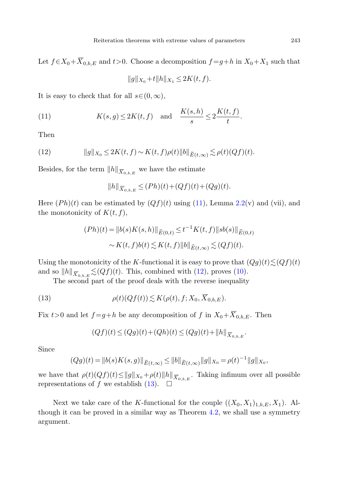<span id="page-16-0"></span>Let  $f \in X_0 + \overline{X}_{0,b,E}$  and  $t > 0$ . Choose a decomposition  $f = g + h$  in  $X_0 + X_1$  such that

$$
||g||_{X_0} + t||h||_{X_1} \le 2K(t, f).
$$

<span id="page-16-1"></span>It is easy to check that for all  $s \in (0, \infty)$ ,

(11) 
$$
K(s,g) \le 2K(t,f) \quad \text{and} \quad \frac{K(s,h)}{s} \le 2\frac{K(t,f)}{t}.
$$

Then

(12) 
$$
||g||_{X_0} \le 2K(t, f) \sim K(t, f)\rho(t)||b||_{\widetilde{E}(t,\infty)} \lesssim \rho(t)(Qf)(t).
$$

Besides, for the term  $||h||_{\overline{X}_{0,b,E}}$  we have the estimate

$$
||h||_{\overline{X}_{0,b,E}} \le (Ph)(t) + (Qf)(t) + (Qg)(t).
$$

<span id="page-16-2"></span>Here  $(Ph)(t)$  can be estimated by  $(Qf)(t)$  using ([11\)](#page-16-0), Lemma [2.2\(](#page-5-1)v) and (vii), and the monotonicity of  $K(t, f)$ ,

$$
(Ph)(t) = ||b(s)K(s,h)||_{\widetilde{E}(0,t)} \le t^{-1}K(t,f)||sb(s)||_{\widetilde{E}(0,t)}
$$

$$
\sim K(t,f)b(t) \lesssim K(t,f)||b||_{\widetilde{E}(t,\infty)} \lesssim (Qf)(t).
$$

Using the monotonicity of the K-functional it is easy to prove that  $(Qg)(t) \lesssim (Qf)(t)$ and so  $||h||_{\overline{X}_{0,b,E}} \lesssim (Qf)(t)$ . This, combined with [\(12\)](#page-16-1), proves ([10\)](#page-15-0).

The second part of the proof deals with the reverse inequality

(13) 
$$
\rho(t)(Qf(t)) \lesssim K(\rho(t), f; X_0, \overline{X}_{0,b,E}).
$$

Fix  $t>0$  and let  $f = g+h$  be any decomposition of f in  $X_0 + \overline{X}_{0,b,E}$ . Then

$$
(Qf)(t) \le (Qg)(t) + (Qh)(t) \le (Qg)(t) + ||h||_{\overline{X}_{0,b,E}}.
$$

Since

$$
(Qg)(t) = ||b(s)K(s,g)||_{\widetilde{E}(t,\infty)} \le ||b||_{\widetilde{E}(t,\infty)} ||g||_{X_0} = \rho(t)^{-1} ||g||_{X_0},
$$

we have that  $\rho(t)(Qf)(t) \leq ||g||_{X_0} + \rho(t)||h||_{\overline{X}_{0,b,E}}$ . Taking infimum over all possible representations of f we establish ([13\)](#page-16-2).  $\Box$ 

Next we take care of the K-functional for the couple  $((X_0, X_1)_{1,b,E}, X_1)$ . Although it can be proved in a similar way as Theorem [4.2,](#page-15-1) we shall use a symmetry argument.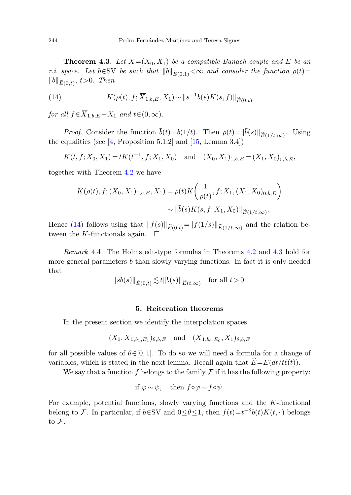<span id="page-17-2"></span><span id="page-17-1"></span>**Theorem 4.3.** Let  $\overline{X} = (X_0, X_1)$  be a compatible Banach couple and E be an r.i. space. Let b∈SV be such that  $||b||_{\widetilde{E}(0,1)} < \infty$  and consider the function  $\rho(t)$ =  $||b||_{\widetilde{E}(0,t)}, t>0$ . Then

(14) 
$$
K(\rho(t), f; \overline{X}_{1,b,E}, X_1) \sim ||s^{-1}b(s)K(s, f)||_{\widetilde{E}(0,t)}
$$

for all  $f \in \overline{X}_{1,b,E} + X_1$  and  $t \in (0,\infty)$ .

*Proof.* Consider the function  $\bar{b}(t)=b(1/t)$ . Then  $\rho(t)=\|\bar{b}(s)\|_{\widetilde{E}(1/t,\infty)}$ . Using the equalities (see  $[4,$  $[4,$  Proposition 5.1.2] and  $[15,$  $[15,$  Lemma 3.4])

$$
K(t, f; X_0, X_1) = tK(t^{-1}, f; X_1, X_0)
$$
 and  $(X_0, X_1)_{1,b,E} = (X_1, X_0)_{0,\bar{b},E}$ 

together with Theorem [4.2](#page-15-1) we have

$$
K(\rho(t), f; (X_0, X_1)_{1,b,E}, X_1) = \rho(t) K\left(\frac{1}{\rho(t)}, f; X_1, (X_1, X_0)_{0,\bar{b},E}\right)
$$

$$
\sim \|\bar{b}(s) K(s, f; X_1, X_0)\|_{\widetilde{E}(1/t,\infty)}.
$$

Hence ([14\)](#page-17-1) follows using that  $||f(s)||_{\widetilde{E}(0,t)}=||f(1/s)||_{\widetilde{E}(1/t,\infty)}$  and the relation between the K-functionals again.  $\square$ 

<span id="page-17-0"></span>Remark 4.4. The Holmstedt-type formulas in Theorems [4.2](#page-15-1) and [4.3](#page-17-2) hold for more general parameters  $b$  than slowly varying functions. In fact it is only needed that

$$
||sb(s)||_{\widetilde{E}(0,t)} \lesssim t ||b(s)||_{\widetilde{E}(t,\infty)} \quad \text{for all } t > 0.
$$

# **5. Reiteration theorems**

In the present section we identify the interpolation spaces

$$
(X_0, \overline{X}_{0,b_1,E_1})_{\theta,b,E}
$$
 and  $(\overline{X}_{1,b_0,E_0}, X_1)_{\theta,b,E}$ 

for all possible values of  $\theta \in [0, 1]$ . To do so we will need a formula for a change of variables, which is stated in the next lemma. Recall again that  $E=E(dt/t\ell(t))$ .

We say that a function f belongs to the family  $\mathcal F$  if it has the following property:

if 
$$
\varphi \sim \psi
$$
, then  $f \circ \varphi \sim f \circ \psi$ .

For example, potential functions, slowly varying functions and the K-functional belong to F. In particular, if  $b \in SV$  and  $0 \leq \theta \leq 1$ , then  $f(t) = t^{-\theta} b(t) K(t, \cdot)$  belongs to F.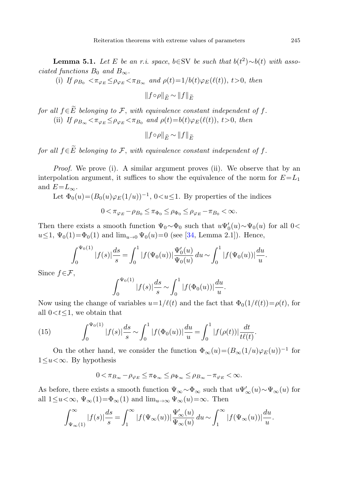<span id="page-18-0"></span>**Lemma 5.1.** Let E be an r.i. space, b∈SV be such that  $b(t^2) \sim b(t)$  with associated functions  $B_0$  and  $B_{\infty}$ .

(i) If  $\rho_{B_0} < \pi_{\varphi_E} \leq \rho_{\varphi_E} < \pi_{B_\infty}$  and  $\rho(t)=1/b(t)\varphi_E(\ell(t)), t>0,$  then

$$
||f \circ \rho||_{\widehat{E}} \sim ||f||_{\widetilde{E}}
$$

for all  $f \in \widetilde{E}$  belonging to F, with equivalence constant independent of f. (ii) If  $\rho_{B_{\infty}} < \pi_{\varphi_E} \leq \rho_{\varphi_E} < \pi_{B_0}$  and  $\rho(t) = b(t) \varphi_E(\ell(t)), t > 0$ , then

 $||f \circ \rho||_{\widehat{E}} \sim ||f||_{\widetilde{E}}$ 

for all  $f \in \widetilde{E}$  belonging to F, with equivalence constant independent of f.

*Proof.* We prove (i). A similar argument proves (ii). We observe that by an interpolation argument, it suffices to show the equivalence of the norm for  $E=L_1$ and  $E=L_{\infty}$ .

Let  $\Phi_0(u)=(B_0(u)\varphi_E(1/u))^{-1}$ ,  $0\lt u\lt 1$ . By properties of the indices

$$
0 < \pi_{\varphi_E} - \rho_{B_0} \leq \pi_{\Phi_0} \leq \rho_{\Phi_0} \leq \rho_{\varphi_E} - \pi_{B_0} < \infty.
$$

Then there exists a smooth function  $\Psi_0 \sim \Phi_0$  such that  $u\Psi_0'(u) \sim \Psi_0(u)$  for all 0<  $u \leq 1$ ,  $\Psi_0(1) = \Phi_0(1)$  and  $\lim_{u \to 0} \Psi_0(u) = 0$  (see [[34,](#page-29-13) Lemma 2.1]). Hence,

$$
\int_0^{\Psi_0(1)} |f(s)| \frac{ds}{s} = \int_0^1 |f(\Psi_0(u))| \frac{\Psi_0'(u)}{\Psi_0(u)} du \sim \int_0^1 |f(\Psi_0(u))| \frac{du}{u}.
$$

<span id="page-18-1"></span>Since  $f \in \mathcal{F}$ ,

$$
\int_0^{\Psi_0(1)} |f(s)| \frac{ds}{s} \sim \int_0^1 |f(\Phi_0(u))| \frac{du}{u}.
$$

Now using the change of variables  $u=1/\ell(t)$  and the fact that  $\Phi_0(1/\ell(t))=\rho(t)$ , for all  $0 < t \leq 1$ , we obtain that

(15) 
$$
\int_0^{\Psi_0(1)} |f(s)| \frac{ds}{s} \sim \int_0^1 |f(\Phi_0(u))| \frac{du}{u} = \int_0^1 |f(\rho(t))| \frac{dt}{t\ell(t)}.
$$

On the other hand, we consider the function  $\Phi_{\infty}(u)=(B_{\infty}(1/u)\varphi_{E}(u))^{-1}$  for  $1 \le u < \infty$ . By hypothesis

$$
0 < \pi_{B_{\infty}} - \rho_{\varphi_E} \le \pi_{\Phi_{\infty}} \le \rho_{\Phi_{\infty}} \le \rho_{B_{\infty}} - \pi_{\varphi_E} < \infty.
$$

As before, there exists a smooth function  $\Psi_{\infty} \sim \Phi_{\infty}$  such that  $u \Psi'_{\infty}(u) \sim \Psi_{\infty}(u)$  for all  $1 \le u < \infty$ ,  $\Psi_{\infty}(1) = \Phi_{\infty}(1)$  and  $\lim_{u \to \infty} \Psi_{\infty}(u) = \infty$ . Then

$$
\int_{\Psi_{\infty}(1)}^{\infty} |f(s)| \frac{ds}{s} = \int_{1}^{\infty} |f(\Psi_{\infty}(u))| \frac{\Psi'_{\infty}(u)}{\Psi_{\infty}(u)} du \sim \int_{1}^{\infty} |f(\Psi_{\infty}(u))| \frac{du}{u}.
$$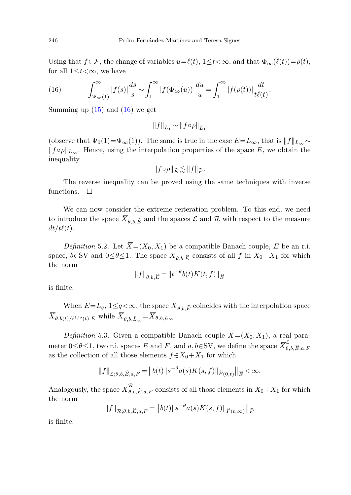Using that  $f \in \mathcal{F}$ , the change of variables  $u = \ell(t)$ ,  $1 \le t \le \infty$ , and that  $\Phi_{\infty}(\ell(t)) = \rho(t)$ , for all  $1 \leq t < \infty$ , we have

(16) 
$$
\int_{\Psi_{\infty}(1)}^{\infty} |f(s)| \frac{ds}{s} \sim \int_{1}^{\infty} |f(\Phi_{\infty}(u))| \frac{du}{u} = \int_{1}^{\infty} |f(\rho(t))| \frac{dt}{t^{\ell}(t)}.
$$

Summing up  $(15)$  $(15)$  and  $(16)$  $(16)$  we get

$$
||f||_{\tilde{L}_1} \sim ||f \circ \rho||_{\hat{L}_1}
$$

(observe that  $\Psi_0(1) = \Psi_\infty(1)$ ). The same is true in the case  $E = L_\infty$ , that is  $||f||_{L_\infty} \sim$  $||f \circ \rho||_{L_{\infty}}$ . Hence, using the interpolation properties of the space E, we obtain the inequality

$$
||f\circ \rho||_{\widehat{E}}\lesssim ||f||_{\widetilde{E}}.
$$

<span id="page-19-0"></span>The reverse inequality can be proved using the same techniques with inverse functions.  $\square$ 

We can now consider the extreme reiteration problem. To this end, we need to introduce the space  $\overline{X}_{\theta, b, \widehat{E}}$  and the spaces  $\mathcal L$  and  $\mathcal R$  with respect to the measure  $dt/t\ell(t).$ 

*Definition* 5.2. Let  $\overline{X}=(X_0, X_1)$  be a compatible Banach couple, E be an r.i. space,  $b \in SV$  and  $0 \leq \theta \leq 1$ . The space  $\overline{X}_{\theta, b, \widehat{E}}$  consists of all f in  $X_0 + X_1$  for which the norm

$$
||f||_{\theta,b,\widehat{E}} = ||t^{-\theta}b(t)K(t,f)||_{\widehat{E}}
$$

<span id="page-19-1"></span>is finite.

When  $E=L_q,$   $1\leq q<\infty$ , the space  $\overline{X}_{\theta,b,\widehat{E}}$  coincides with the interpolation space  $\overline{X}_{\theta,b(t)/\ell^{1/q}(t),E}$  while  $\overline{X}_{\theta,b,\hat{L}_{\infty}} = \overline{X}_{\theta,b,L_{\infty}}$ .

*Definition* 5.3. Given a compatible Banach couple  $\overline{X} = (X_0, X_1)$ , a real parameter  $0 \le \theta \le 1$ , two r.i. spaces E and F, and  $a, b \in SV$ , we define the space  $\overline{X}_{\theta,b,\widehat{E},a,F}^{\mathcal{L}}$ as the collection of all those elements  $f \in X_0 + X_1$  for which

$$
||f||_{\mathcal{L};\theta,b,\widehat{E},a,F} = ||b(t)||s^{-\theta}a(s)K(s,f)||_{\widetilde{F}(0,t)}||_{\widehat{E}} < \infty.
$$

Analogously, the space  $\overline{X}_{\theta,b,\widehat{E},a,F}^{\mathcal{R}}$  consists of all those elements in  $X_0+X_1$  for which the norm

$$
||f||_{\mathcal{R};\theta,b,\widehat{E},a,F} = ||b(t)||s^{-\theta}a(s)K(s,f)||_{\widetilde{F}(t,\infty)}||_{\widehat{E}}
$$

is finite.

<span id="page-19-2"></span>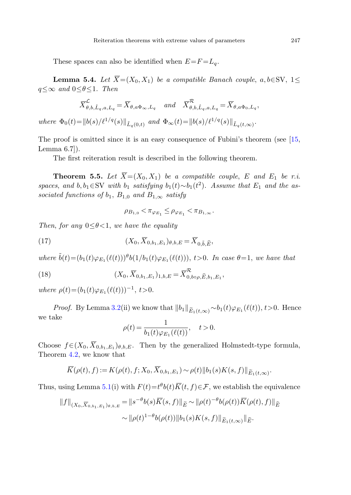These spaces can also be identified when  $E = F = L_q$ .

**Lemma 5.4.** Let  $\overline{X} = (X_0, X_1)$  be a compatible Banach couple, a, b∈SV, 1  $q \leq \infty$  and  $0 \leq \theta \leq 1$ . Then

$$
\overline{X}_{\theta,b,\hat{L}_q,a,L_q}^{\mathcal{L}} = \overline{X}_{\theta,a\Phi_{\infty},L_q} \quad and \quad \overline{X}_{\theta,b,\hat{L}_q,a,L_q}^{\mathcal{R}} = \overline{X}_{\theta,a\Phi_0,L_q},
$$

<span id="page-20-0"></span>where  $\Phi_0(t)=\|b(s)/\ell^{1/q}(s)\|_{\tilde{L}_{\alpha}(0,t)}$  and  $\Phi_{\infty}(t)=\|b(s)/\ell^{1/q}(s)\|_{\tilde{L}_{\alpha}(t,\infty)}$ .

The proof is omitted since it is an easy consequence of Fubini's theorem (see [[15,](#page-28-3) Lemma 6.7]).

The first reiteration result is described in the following theorem.

<span id="page-20-2"></span>**Theorem 5.5.** Let  $\overline{X} = (X_0, X_1)$  be a compatible couple, E and  $E_1$  be r.i. spaces, and  $b, b_1 \in SV$  with  $b_1$  satisfying  $b_1(t) \sim b_1(t^2)$ . Assume that  $E_1$  and the associated functions of  $b_1$ ,  $B_{1,0}$  and  $B_{1,\infty}$  satisfy

$$
\rho_{B_{1,0}} < \pi_{\varphi_{E_1}} \leq \rho_{\varphi_{E_1}} < \pi_{B_{1,\infty}}.
$$

<span id="page-20-1"></span>Then, for any  $0 \le \theta \le 1$ , we have the equality

(17) 
$$
(X_0, \overline{X}_{0,b_1,E_1})_{\theta,b,E} = \overline{X}_{0,\tilde{b},\tilde{E}},
$$

where  $\tilde{b}(t)=(b_1(t)\varphi_{E_1}(\ell(t)))\theta b(1/b_1(t)\varphi_{E_1}(\ell(t))), t>0$ . In case  $\theta=1$ , we have that

(18) 
$$
(X_0, \overline{X}_{0,b_1,E_1})_{1,b,E} = \overline{X}_{0,b\circ\rho,\widehat{E},b_1,E_1}^{\mathcal{R}},
$$

where  $\rho(t)=(b_1(t)\varphi_{E_1}(\ell(t)))^{-1}, t>0.$ 

*Proof.* By Lemma [3.2\(](#page-7-0)ii) we know that  $||b_1||_{\widetilde{E}_1(t,\infty)} \sim b_1(t)\varphi_{E_1}(\ell(t)), t>0$ . Hence we take

$$
\rho(t) = \frac{1}{b_1(t)\varphi_{E_1}(\ell(t))}, \quad t > 0.
$$

Choose  $f \in (X_0, \overline{X}_{0,b_1,E_1})_{\theta,b,E}$ . Then by the generalized Holmstedt-type formula, Theorem [4.2](#page-15-1), we know that

$$
\overline{K}(\rho(t),f) := K(\rho(t),f;X_0,\overline{X}_{0,b_1,E_1}) \sim \rho(t) \Vert b_1(s)K(s,f) \Vert_{\widetilde{E}_1(t,\infty)}.
$$

Thus, using Lemma [5.1\(](#page-18-0)i) with  $F(t)=t^{\theta}b(t)\overline{K}(t, f) \in \mathcal{F}$ , we establish the equivalence

$$
||f||_{(X_0, \overline{X}_{0,b_1, E_1})_{\theta,b,E}} = ||s^{-\theta}b(s)\overline{K}(s,f)||_{\widetilde{E}} \sim ||\rho(t)^{-\theta}b(\rho(t))\overline{K}(\rho(t),f)||_{\widehat{E}} \sim ||\rho(t)^{1-\theta}b(\rho(t))||b_1(s)K(s,f)||_{\widetilde{E}_1(t,\infty)}||_{\widehat{E}}.
$$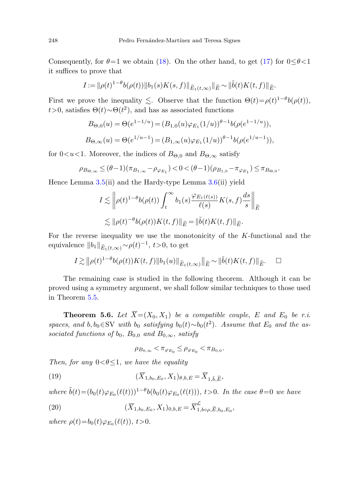Consequently, for  $\theta=1$  we obtain [\(18](#page-20-1)). On the other hand, to get [\(17](#page-20-2)) for  $0<\theta<1$ it suffices to prove that

$$
I := \|\rho(t)^{1-\theta}b(\rho(t))\|b_1(s)K(s,f)\|_{\widetilde{E}_1(t,\infty)}\|_{\widehat{E}} \sim \|\tilde{b}(t)K(t,f)\|_{\widehat{E}}.
$$

First we prove the inequality  $\lesssim$ . Observe that the function  $\Theta(t) = \rho(t)^{1-\theta}b(\rho(t)),$  $t > 0$ , satisfies  $\Theta(t) \sim \Theta(t^2)$ , and has as associated functions

$$
B_{\Theta,0}(u) = \Theta(e^{1-1/u}) = (B_{1,0}(u)\varphi_{E_1}(1/u))^{\theta-1}b(\rho(e^{1-1/u})),
$$
  
\n
$$
B_{\Theta,\infty}(u) = \Theta(e^{1/u-1}) = (B_{1,\infty}(u)\varphi_{E_1}(1/u))^{\theta-1}b(\rho(e^{1/u-1})),
$$

for  $0. Moreover, the indices of  $B_{\Theta,0}$  and  $B_{\Theta,\infty}$  satisfy$ 

$$
\rho_{B_{\Theta,\infty}} \leq (\theta - 1)(\pi_{B_{1,\infty}} - \rho_{\varphi_{E_1}}) < 0 < (\theta - 1)(\rho_{B_{1,0}} - \pi_{\varphi_{E_1}}) \leq \pi_{B_{\Theta,0}}.
$$

Hence Lemma [3.5\(](#page-10-0)ii) and the Hardy-type Lemma [3.6\(](#page-12-0)ii) yield

$$
I \lesssim \left\| \rho(t)^{1-\theta} b(\rho(t)) \int_t^{\infty} b_1(s) \frac{\varphi_{E_1(\ell(s))}}{\ell(s)} K(s, f) \frac{ds}{s} \right\|_{\widehat{E}}
$$
  

$$
\lesssim \| \rho(t)^{-\theta} b(\rho(t)) K(t, f) \|_{\widehat{E}} = \| \tilde{b}(t) K(t, f) \|_{\widehat{E}}.
$$

For the reverse inequality we use the monotonicity of the  $K$ -functional and the equivalence  $||b_1||_{\widetilde{E}_1(t,\infty)} \sim \rho(t)^{-1}$ , t>0, to get

<span id="page-21-0"></span>
$$
I \gtrsim ||\rho(t)^{1-\theta} b(\rho(t))K(t,f)||b_1(u)||_{\widetilde{E}_1(t,\infty)}||_{\widehat{E}} \sim ||\widetilde{b}(t)K(t,f)||_{\widehat{E}}.\quad \Box
$$

The remaining case is studied in the following theorem. Although it can be proved using a symmetry argument, we shall follow similar techniques to those used in Theorem [5.5](#page-20-0).

<span id="page-21-2"></span>**Theorem 5.6.** Let  $\overline{X} = (X_0, X_1)$  be a compatible couple, E and E<sub>0</sub> be r.i. spaces, and b,  $b_0 \in SV$  with  $b_0$  satisfying  $b_0(t) \sim b_0(t^2)$ . Assume that  $E_0$  and the associated functions of  $b_0$ ,  $B_{0,0}$  and  $B_{0,\infty}$ , satisfy

$$
\rho_{B_{0,\infty}} < \pi_{\varphi_{E_0}} \leq \rho_{\varphi_{E_0}} < \pi_{B_{0,0}}.
$$

<span id="page-21-1"></span>Then, for any  $0 < \theta \leq 1$ , we have the equality

(19) 
$$
(\overline{X}_{1,b_0,E_0}, X_1)_{\theta,b,E} = \overline{X}_{1,\tilde{b},\widehat{E}},
$$

where  $\tilde{b}(t)=(b_0(t)\varphi_{E_0}(\ell(t)))^{1-\theta}b(b_0(t)\varphi_{E_0}(\ell(t))), t>0$ . In the case  $\theta=0$  we have

(20) 
$$
(\overline{X}_{1,b_0,E_0}, X_1)_{0,b,E} = \overline{X}_{1,b_0,\rho,\widehat{E},b_0,E_0}^{\mathcal{L}},
$$

where  $\rho(t)=b_0(t)\varphi_{E_0}(\ell(t)), t>0.$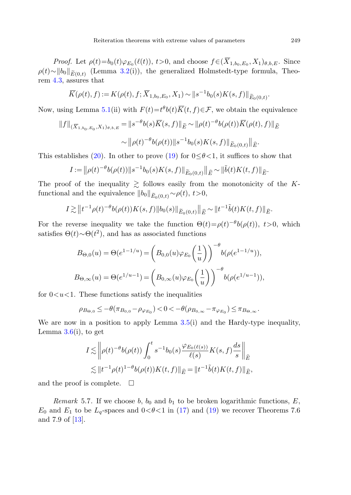*Proof.* Let  $\rho(t)=b_0(t)\varphi_{E_0}(\ell(t)), t>0$ , and choose  $f\in (\overline{X}_{1,b_0,E_0}, X_1)_{\theta,b,E}$ . Since  $\rho(t) \sim ||b_0||_{\widetilde{E}(0,t)}$  (Lemma [3.2\(](#page-7-0)i)), the generalized Holmstedt-type formula, Theorem [4.3](#page-17-2), assures that

$$
\overline{K}(\rho(t),f) := K(\rho(t),f;\overline{X}_{1,b_0,E_0},X_1) \sim ||s^{-1}b_0(s)K(s,f)||_{\widetilde{E}_0(0,t)}.
$$

Now, using Lemma [5.1](#page-18-0)(ii) with  $F(t)=t^{\theta}b(t)\overline{K}(t,f)\in\mathcal{F}$ , we obtain the equivalence

$$
||f||_{(\overline{X}_{1,b_0,E_0},X_1)_{\theta,b,E}} = ||s^{-\theta}b(s)\overline{K}(s,f)||_{\widetilde{E}} \sim ||\rho(t)^{-\theta}b(\rho(t))\overline{K}(\rho(t),f)||_{\widehat{E}} \sim ||\rho(t)^{-\theta}b(\rho(t))||s^{-1}b_0(s)K(s,f)||_{\widetilde{E}_0(0,t)}||_{\widehat{E}}.
$$

This establishes [\(20](#page-21-1)). In other to prove ([19\)](#page-21-2) for  $0 \le \theta < 1$ , it suffices to show that

$$
I := ||\rho(t)^{-\theta}b(\rho(t))||s^{-1}b_0(s)K(s,f)||_{\widetilde{E}_0(0,t)}||_{\widehat{E}} \sim ||\widetilde{b}(t)K(t,f)||_{\widehat{E}}.
$$

The proof of the inequality  $\gtrsim$  follows easily from the monotonicity of the Kfunctional and the equivalence  $||b_0||_{\widetilde{E}_0(0,t)} \sim \rho(t)$ ,  $t>0$ ,

$$
I \gtrsim ||t^{-1} \rho(t)^{-\theta} b(\rho(t)) K(s,f)||b_0(s)||_{\widetilde{E}_0(0,t)}||_{\widehat{E}} \sim ||t^{-1} \tilde{b}(t) K(t,f)||_{\widehat{E}}.
$$

For the reverse inequality we take the function  $\Theta(t) = \rho(t)^{-\theta} b(\rho(t))$ , t > 0, which satisfies  $\Theta(t) \sim \Theta(t^2)$ , and has as associated functions

$$
B_{\Theta,0}(u) = \Theta(e^{1-1/u}) = \left(B_{0,0}(u)\varphi_{E_0}\left(\frac{1}{u}\right)\right)^{-\theta} b(\rho(e^{1-1/u})),
$$
  

$$
B_{\Theta,\infty}(u) = \Theta(e^{1/u-1}) = \left(B_{0,\infty}(u)\varphi_{E_0}\left(\frac{1}{u}\right)\right)^{-\theta} b(\rho(e^{1/u-1})),
$$

for  $0 \lt u \lt 1$ . These functions satisfy the inequalities

$$
\rho_{B_{\Theta,0}} \le -\theta(\pi_{B_{0,0}} - \rho_{\varphi_{E_0}}) < 0 < -\theta(\rho_{B_{0,\infty}} - \pi_{\varphi_{E_0}}) \le \pi_{B_{\Theta,\infty}}.
$$

We are now in a position to apply Lemma [3.5\(](#page-10-0)i) and the Hardy-type inequality, Lemma  $3.6(i)$  $3.6(i)$ , to get

$$
I \lesssim \left\| \rho(t)^{-\theta} b(\rho(t)) \int_0^t s^{-1} b_0(s) \frac{\varphi_{E_0(\ell(s))}}{\ell(s)} K(s, f) \frac{ds}{s} \right\|_{\widehat{E}}
$$
  
 
$$
\lesssim \|t^{-1} \rho(t)^{1-\theta} b(\rho(t)) K(t, f) \|_{\widehat{E}} = \|t^{-1} \tilde{b}(t) K(t, f) \|_{\widehat{E}},
$$

and the proof is complete.  $\square$ 

Remark 5.7. If we choose b,  $b_0$  and  $b_1$  to be broken logarithmic functions, E,  $E_0$  and  $E_1$  to be  $L_q$ -spaces and  $0<\theta<1$  in [\(17](#page-20-2)) and ([19\)](#page-21-2) we recover Theorems 7.6 and 7.9 of [[13\]](#page-28-7).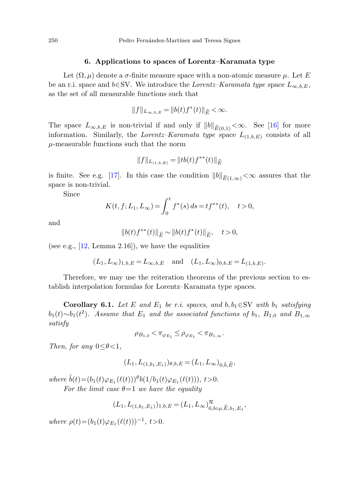#### **6. Applications to spaces of Lorentz–Karamata type**

<span id="page-23-0"></span>Let  $(\Omega, \mu)$  denote a  $\sigma$ -finite measure space with a non-atomic measure  $\mu$ . Let E be an r.i. space and b∈SV. We introduce the Lorentz–Karamata type space  $L_{\infty,b,E}$ , as the set of all measurable functions such that

$$
||f||_{L_{\infty,b,E}} = ||b(t)f^*(t)||_{\widetilde{E}} < \infty.
$$

The space  $L_{\infty,b,E}$  is non-trivial if and only if  $||b||_{\widetilde{E}(0,1)} < \infty$ . See [[16](#page-28-17)] for more information. Similarly, the Lorentz–Karamata type space  $L_{(1,b,E)}$  consists of all  $\mu$ -measurable functions such that the norm

$$
\|f\|_{L_{(1,b,E)}}=\|t b(t) f^{**}(t)\|_{\widetilde{E}}
$$

is finite. See e.g. [[17\]](#page-28-4). In this case the condition  $||b||_{\widetilde{E}(1,\infty)}<\infty$  assures that the space is non-trivial.

Since

$$
K(t, f; L_1, L_\infty) = \int_0^t f^*(s) \, ds = t f^{**}(t), \quad t > 0,
$$

and

$$
||b(t)f^{**}(t)||_{\widetilde{E}} \sim ||b(t)f^{*}(t)||_{\widetilde{E}}, \quad t > 0,
$$

<span id="page-23-1"></span>(see e.g.,  $[12, \text{Lemma } 2.16]$  $[12, \text{Lemma } 2.16]$ ), we have the equalities

$$
(L_1, L_{\infty})_{1,b,E} = L_{\infty,b,E}
$$
 and  $(L_1, L_{\infty})_{0,b,E} = L_{(1,b,E)}$ .

Therefore, we may use the reiteration theorems of the previous section to establish interpolation formulas for Lorentz–Karamata type spaces.

**Corollary 6.1.** Let E and  $E_1$  be r.i. spaces, and  $b, b_1 \in SV$  with  $b_1$  satisfying  $b_1(t) \sim b_1(t^2)$ . Assume that  $E_1$  and the associated functions of  $b_1$ ,  $B_{1,0}$  and  $B_{1,\infty}$ satisfy

$$
\rho_{B_{1,0}}<\pi_{\varphi_{E_1}}\leq \rho_{\varphi_{E_1}}<\pi_{B_{1,\infty}}.
$$

Then, for any  $0 \leq \theta \leq 1$ ,

$$
(L_1, L_{(1,b_1,E_1)})_{\theta,b,E} = (L_1, L_{\infty})_{0,\tilde{b},\tilde{E}},
$$

where  $\tilde{b}(t)=(b_1(t)\varphi_{E_1}(\ell(t)))^{\theta}b(1/b_1(t)\varphi_{E_1}(\ell(t))), t>0.$ For the limit case  $\theta = 1$  we have the equality

$$
(L_1, L_{(1,b_1,E_1)})_{1,b,E} = (L_1, L_{\infty})_{0,b \circ \rho, \widehat{E}, b_1, E_1}^{\mathcal{R}},
$$

where  $\rho(t)=(b_1(t)\varphi_{E_1}(\ell(t)))^{-1}, t>0.$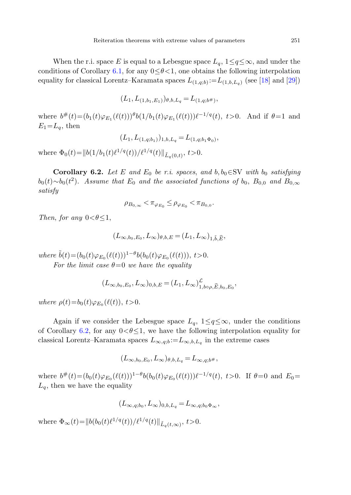When the r.i. space E is equal to a Lebesgue space  $L_q$ ,  $1 \leq q \leq \infty$ , and under the conditions of Corollary [6.1](#page-23-1), for any  $0 \le \theta \le 1$ , one obtains the following interpolation equality for classical Lorentz–Karamata spaces  $L_{(1,q;b)} := L_{(1,b,L_q)}$  (see [[18\]](#page-28-13) and [[29\]](#page-29-14))

$$
(L_1, L_{(1,b_1,E_1)})_{\theta,b,L_q} = L_{(1,q;b^{\#})},
$$

<span id="page-24-0"></span>where  $b^{\#}(t)=(b_1(t)\varphi_{E_1}(\ell(t)))\theta b(1/b_1(t)\varphi_{E_1}(\ell(t)))\ell^{-1/q}(t), t>0$ . And if  $\theta=1$  and  $E_1=L_q$ , then

$$
(L_1, L_{(1,q;b_1)})_{1,b,L_q} = L_{(1,q;b_1\Phi_0)},
$$

where  $\Phi_0(t)=\|b(1/b_1(t)\ell^{1/q}(t))/\ell^{1/q}(t)\|_{\tilde{L}_q(0,t)}, t>0.$ 

**Corollary 6.2.** Let E and  $E_0$  be r.i. spaces, and  $b, b_0 \in SV$  with  $b_0$  satisfying  $b_0(t) \sim b_0(t^2)$ . Assume that  $E_0$  and the associated functions of  $b_0$ ,  $B_{0,0}$  and  $B_{0,\infty}$ satisfy

$$
\rho_{B_{0,\infty}} < \pi_{\varphi_{E_0}} \leq \rho_{\varphi_{E_0}} < \pi_{B_{0,0}}.
$$

Then, for any  $0 < \theta \leq 1$ ,

$$
(L_{\infty,b_0,E_0},L_{\infty})_{\theta,b,E}=(L_1,L_{\infty})_{1,\tilde{b},\widehat{E}},
$$

where  $\tilde{b}(t)=(b_0(t)\varphi_{E_0}(\ell(t)))^{1-\theta}b(b_0(t)\varphi_{E_0}(\ell(t))), t>0.$ 

For the limit case  $\theta=0$  we have the equality

$$
(L_{\infty,b_0,E_0},L_{\infty})_{0,b,E} = (L_1,L_{\infty})_{1,b\circ\rho,\widehat{E},b_0,E_0}^{\mathcal{L}},
$$

where  $\rho(t)=b_0(t)\varphi_{E_0}(\ell(t)), t>0.$ 

Again if we consider the Lebesgue space  $L_q$ ,  $1 \leq q \leq \infty$ , under the conditions of Corollary [6.2,](#page-24-0) for any  $0 < \theta \leq 1$ , we have the following interpolation equality for classical Lorentz–Karamata spaces  $L_{\infty,q,b} := L_{\infty,b,L_q}$  in the extreme cases

$$
(L_{\infty,b_0,E_0},L_{\infty})_{\theta,b,L_q}=L_{\infty,q;b^{\#}},
$$

where  $b^{\#}(t)=(b_0(t)\varphi_{E_0}(\ell(t)))^{1-\theta}b(b_0(t)\varphi_{E_0}(\ell(t)))\ell^{-1/q}(t), t>0$ . If  $\theta=0$  and  $E_0=$  $L_q$ , then we have the equality

$$
(L_{\infty,q;b_0},L_{\infty})_{0,b,L_q} = L_{\infty,q;b_0\Phi_{\infty}},
$$

where  $\Phi_{\infty}(t)=\|b(b_0(t)\ell^{1/q}(t))/\ell^{1/q}(t)\|_{\tilde{L}_a(t,\infty)}, t>0.$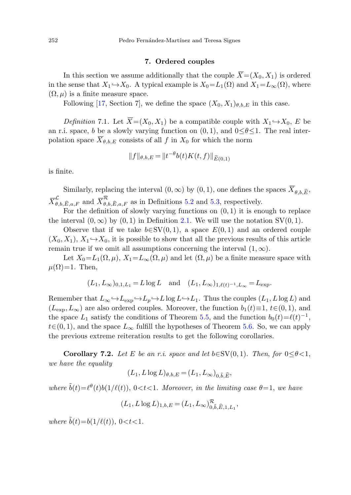# **7. Ordered couples**

<span id="page-25-0"></span>In this section we assume additionally that the couple  $\overline{X}=(X_0, X_1)$  is ordered in the sense that  $X_1 \hookrightarrow X_0$ . A typical example is  $X_0 = L_1(\Omega)$  and  $X_1 = L_{\infty}(\Omega)$ , where  $(\Omega, \mu)$  is a finite measure space.

Following [[17](#page-28-4), Section 7], we define the space  $(X_0, X_1)_{\theta,b,E}$  in this case.

Definition 7.1. Let  $\overline{X}=(X_0, X_1)$  be a compatible couple with  $X_1 \hookrightarrow X_0$ , E be an r.i. space, b be a slowly varying function on  $(0, 1)$ , and  $0 \le \theta \le 1$ . The real interpolation space  $\overline{X}_{\theta,b,E}$  consists of all f in  $X_0$  for which the norm

$$
||f||_{\theta,b,E} = ||t^{-\theta}b(t)K(t,f)||_{\widetilde{E}(0,1)}
$$

is finite.

Similarly, replacing the interval  $(0, \infty)$  by  $(0, 1)$ , one defines the spaces  $\overline{X}_{\theta, b,\widehat{E}}$ ,  $\overline{X}_{\theta,b,\widehat{E},a,F}^{\mathcal{L}}$  and  $\overline{X}_{\theta,b,\widehat{E},a,F}^{\mathcal{R}}$  as in Definitions [5.2](#page-19-0) and [5.3,](#page-19-1) respectively.

For the definition of slowly varying functions on  $(0, 1)$  it is enough to replace the interval  $(0, \infty)$  by  $(0, 1)$  in Definition [2.1.](#page-5-0) We will use the notation SV $(0, 1)$ .

Observe that if we take  $b \in SV(0, 1)$ , a space  $E(0, 1)$  and an ordered couple  $(X_0, X_1), X_1 \rightarrow X_0$ , it is possible to show that all the previous results of this article remain true if we omit all assumptions concerning the interval  $(1, \infty)$ .

Let  $X_0 = L_1(\Omega, \mu)$ ,  $X_1 = L_\infty(\Omega, \mu)$  and let  $(\Omega, \mu)$  be a finite measure space with  $\mu(\Omega) = 1$ . Then,

$$
(L_1, L_{\infty})_{0,1,L_1} = L \log L
$$
 and  $(L_1, L_{\infty})_{1,\ell(t)^{-1},L_{\infty}} = L_{\exp}$ .

Remember that  $L_{\infty} \hookrightarrow L_{\exp} \hookrightarrow L_p \hookrightarrow L \log L \hookrightarrow L_1$ . Thus the couples  $(L_1, L \log L)$  and  $(L_{\text{exp}}, L_{\infty})$  are also ordered couples. Moreover, the function  $b_1(t)\equiv 1, t\in (0, 1)$ , and the space  $L_1$  satisfy the conditions of Theorem [5.5](#page-20-0), and the function  $b_0(t)=\ell(t)^{-1}$ ,  $t\in(0, 1)$ , and the space  $L_{\infty}$  fulfill the hypotheses of Theorem [5.6](#page-21-0). So, we can apply the previous extreme reiteration results to get the following corollaries.

**Corollary 7.2.** Let E be an r.i. space and let  $b \in SV(0, 1)$ . Then, for  $0 \le \theta < 1$ , we have the equality

$$
(L_1, L \log L)_{\theta, b, E} = (L_1, L_\infty)_{0, \tilde{b}, \tilde{E}},
$$

where  $\tilde{b}(t)=\ell^{\theta}(t)b(1/\ell(t)), 0 < t < 1$ . Moreover, in the limiting case  $\theta=1$ , we have

$$
(L_1, L \log L)_{1,b,E} = (L_1, L_{\infty})_{0,\tilde{b},\widehat{E},1,L_1}^{\mathcal{R}},
$$

where  $\tilde{b}(t)=b(1/\ell(t)), 0 < t < 1.$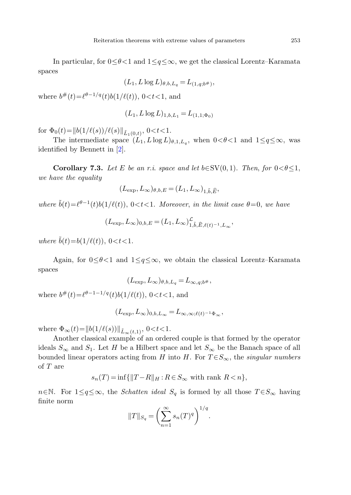In particular, for  $0 \le \theta \le 1$  and  $1 \le q \le \infty$ , we get the classical Lorentz–Karamata spaces

$$
(L_1, L \log L)_{\theta, b, L_q} = L_{(1, q; b^{\#})},
$$

where  $b^{\#}(t) = \ell^{\theta-1/q}(t)b(1/\ell(t)), 0 < t < 1$ , and

$$
(L_1, L \log L)_{1,b,L_1} = L_{(1,1;\Phi_0)}
$$

for  $\Phi_0(t)=\|b(1/\ell(s))/\ell(s)\|_{\tilde{L}_1(0,t)}, 0 < t < 1.$ 

The intermediate space  $(L_1, L \log L)_{\theta,1,L_q}$ , when  $0<\theta<1$  and  $1 \leq q \leq \infty$ , was identified by Bennett in [\[2](#page-28-18)].

**Corollary 7.3.** Let E be an r.i. space and let  $b \in SV(0, 1)$ . Then, for  $0 \lt \theta \leq 1$ , we have the equality

$$
(L_{\exp},L_{\infty})_{\theta,b,E}=(L_1,L_{\infty})_{1,\tilde{b},\widehat{E}},
$$

where  $\tilde{b}(t)=\ell^{\theta-1}(t)b(1/\ell(t)), 0 < t < 1$ . Moreover, in the limit case  $\theta=0$ , we have

$$
(L_{\exp}, L_{\infty})_{0,b,E} = (L_1, L_{\infty})_{1,\tilde{b},\tilde{E},\ell(t)^{-1},L_{\infty}}^{\mathcal{L}},
$$

where  $\tilde{b}(t)=b(1/\ell(t)), 0 < t < 1.$ 

Again, for  $0 \leq \theta < 1$  and  $1 \leq q \leq \infty$ , we obtain the classical Lorentz–Karamata spaces

$$
(L_{\exp},L_{\infty})_{\theta,b,L_q}=L_{\infty,q;b^\#},
$$

where  $b^{\#}(t) = \ell^{\theta-1-1/q}(t)b(1/\ell(t)), 0 < t < 1$ , and

$$
(L_{\exp}, L_{\infty})_{0,b,L_{\infty}} = L_{\infty,\infty;\ell(t)^{-1}\Phi_{\infty}},
$$

where  $\Phi_{\infty}(t) = ||b(1/\ell(s))||_{\tilde{L}_{\infty}(t,1)}, 0 < t < 1.$ 

Another classical example of an ordered couple is that formed by the operator ideals  $S_{\infty}$  and  $S_1$ . Let H be a Hilbert space and let  $S_{\infty}$  be the Banach space of all bounded linear operators acting from H into H. For  $T \in S_{\infty}$ , the singular numbers of T are

$$
s_n(T) = \inf\{\|T - R\|_H : R \in S_\infty \text{ with rank } R < n\},\
$$

 $n \in \mathbb{N}$ . For  $1 \leq q \leq \infty$ , the *Schatten ideal*  $S_q$  is formed by all those  $T \in S_{\infty}$  having finite norm

$$
||T||_{S_q} = \left(\sum_{n=1}^{\infty} s_n(T)^q\right)^{1/q}.
$$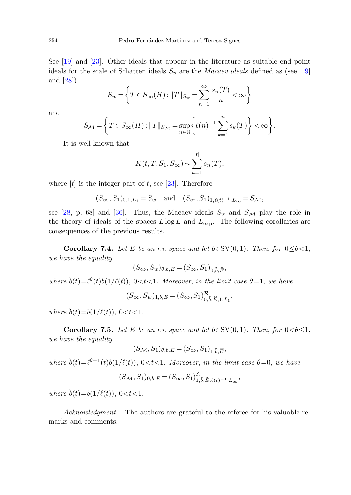See [[19\]](#page-28-19) and [[23\]](#page-29-15). Other ideals that appear in the literature as suitable end point ideals for the scale of Schatten ideals  $S_p$  are the *Macaev ideals* defined as (see [[19\]](#page-28-19) and [[28\]](#page-29-5))

$$
S_w = \left\{ T \in S_\infty(H) : ||T||_{S_w} = \sum_{n=1}^\infty \frac{s_n(T)}{n} < \infty \right\}
$$

and

$$
S_{\mathcal{M}} = \left\{ T \in S_{\infty}(H) : ||T||_{S_{\mathcal{M}}} = \sup_{n \in \mathbb{N}} \left\{ \ell(n)^{-1} \sum_{k=1}^{n} s_k(T) \right\} < \infty \right\}.
$$

It is well known that

$$
K(t, T; S_1, S_{\infty}) \sim \sum_{n=1}^{[t]} s_n(T),
$$

where  $[t]$  is the integer part of t, see [[23\]](#page-29-15). Therefore

$$
(S_{\infty}, S_1)_{0,1,L_1} = S_w
$$
 and  $(S_{\infty}, S_1)_{1,\ell(t)^{-1},L_{\infty}} = S_{\mathcal{M}},$ 

see [[28,](#page-29-5) p. 68] and [\[36](#page-29-16)]. Thus, the Macaev ideals  $S_w$  and  $S_{\mathcal{M}}$  play the role in the theory of ideals of the spaces  $L \log L$  and  $L_{\text{exp}}$ . The following corollaries are consequences of the previous results.

**Corollary 7.4.** Let E be an r.i. space and let  $b \in SV(0, 1)$ . Then, for  $0 \le \theta < 1$ , we have the equality

$$
(S_{\infty}, S_w)_{\theta, b, E} = (S_{\infty}, S_1)_{0, \tilde{b}, \tilde{E}},
$$

where  $\tilde{b}(t)=\ell^{\theta}(t)b(1/\ell(t)), 0 < t < 1$ . Moreover, in the limit case  $\theta=1$ , we have

$$
(S_{\infty}, S_w)_{1, b, E} = (S_{\infty}, S_1)_{0, \tilde{b}, \tilde{E}, 1, L_1}^{\mathcal{R}},
$$

where  $\tilde{b}(t)=b(1/\ell(t)), 0 < t < 1.$ 

**Corollary 7.5.** Let E be an r.i. space and let  $b \in SV(0, 1)$ . Then, for  $0 \lt \theta \leq 1$ , we have the equality

$$
(S_{\mathcal{M}}, S_1)_{\theta, b, E} = (S_{\infty}, S_1)_{1, \tilde{b}, \tilde{E}},
$$

where  $\tilde{b}(t)=\ell^{\theta-1}(t)b(1/\ell(t)), 0 < t < 1$ . Moreover, in the limit case  $\theta=0$ , we have

$$
(S_{\mathcal{M}}, S_1)_{0,b,E} = (S_{\infty}, S_1)_{1,\tilde{b},\tilde{E},\ell(t)^{-1},L_{\infty}}^{\mathcal{L}},
$$

where  $\tilde{b}(t) = b(1/\ell(t))$ ,  $0 < t < 1$ .

Acknowledgment. The authors are grateful to the referee for his valuable remarks and comments.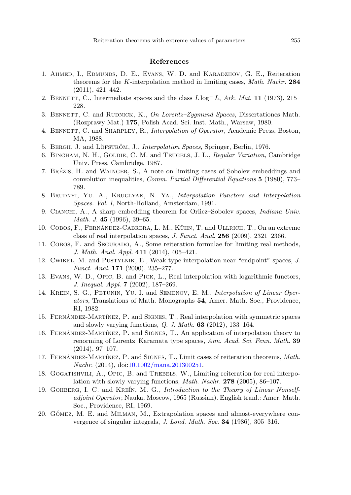# **References**

- <span id="page-28-18"></span><span id="page-28-15"></span><span id="page-28-10"></span><span id="page-28-8"></span><span id="page-28-0"></span>1. Ahmed, I., Edmunds, D. E., Evans, W. D. and Karadzhov, G. E., Reiteration theorems for the K-interpolation method in limiting cases, Math. Nachr. **284** (2011), 421–442.
- <span id="page-28-14"></span><span id="page-28-1"></span>2. BENNETT, C., Intermediate spaces and the class  $L \log^+ L$ , Ark. Mat. **11** (1973), 215– 228.
- 3. BENNETT, C. and RUDNICK, K., On Lorentz–Zygmund Spaces, Dissertationes Math. (Rozprawy Mat.) **175**, Polish Acad. Sci. Inst. Math., Warsaw, 1980.
- <span id="page-28-16"></span>4. BENNETT, C. and SHARPLEY, R., *Interpolation of Operator*, Academic Press, Boston, MA, 1988.
- <span id="page-28-2"></span>5. BERGH, J. and LÖFSTRÖM, J., *Interpolation Spaces*, Springer, Berlin, 1976.
- <span id="page-28-6"></span>6. BINGHAM, N. H., GOLDIE, C. M. and TEUGELS, J. L., Regular Variation, Cambridge Univ. Press, Cambridge, 1987.
- <span id="page-28-9"></span>7. BRÉZIS, H. and WAINGER, S., A note on limiting cases of Sobolev embeddings and convolution inequalities, Comm. Partial Differential Equations **5** (1980), 773– 789.
- <span id="page-28-12"></span>8. Brudnyı, Yu. A., Kruglyak, N. Ya., Interpolation Functors and Interpolation Spaces. Vol. I, North-Holland, Amsterdam, 1991.
- <span id="page-28-7"></span>9. Cianchi, A., A sharp embedding theorem for Orlicz–Sobolev spaces, Indiana Univ. Math. J. **45** (1996), 39–65.
- <span id="page-28-11"></span>10. COBOS, F., FERNÁNDEZ-CABRERA, L. M., KÜHN, T. and ULLRICH, T., On an extreme class of real interpolation spaces, J. Funct. Anal. **256** (2009), 2321–2366.
- <span id="page-28-3"></span>11. Cobos, F. and Segurado, A., Some reiteration formulae for limiting real methods, J. Math. Anal. Appl. **411** (2014), 405–421.
- <span id="page-28-17"></span>12. Cwikel, M. and Pustylnik, E., Weak type interpolation near "endpoint" spaces, J. Funct. Anal. **171** (2000), 235–277.
- 13. Evans, W. D., Opic, B. and Pick, L., Real interpolation with logarithmic functors, J. Inequal. Appl. **7** (2002), 187–269.
- <span id="page-28-4"></span>14. Kreın, S. G., Petunin, Yu. I. and Semenov, E. M., Interpolation of Linear Operators, Translations of Math. Monographs **54**, Amer. Math. Soc., Providence, RI, 1982.
- <span id="page-28-19"></span><span id="page-28-13"></span>15. FERNÁNDEZ-MARTÍNEZ, P. and SIGNES, T., Real interpolation with symmetric spaces and slowly varying functions, Q. J. Math. **63** (2012), 133–164.
- 16. FERNÁNDEZ-MARTÍNEZ, P. and SIGNES, T., An application of interpolation theory to renorming of Lorentz–Karamata type spaces, Ann. Acad. Sci. Fenn. Math. **39** (2014), 97–107.
- <span id="page-28-5"></span>17. FERNÁNDEZ-MARTÍNEZ, P. and SIGNES, T., Limit cases of reiteration theorems, Math. Nachr. (2014), doi:[10.1002/mana.201300251](http://dx.doi.org/10.1002/mana.201300251).
- 18. GOGATISHVILI, A., OPIC, B. and TREBELS, W., Limiting reiteration for real interpolation with slowly varying functions, Math. Nachr. **278** (2005), 86–107.
- 19. GOHBERG, I. C. and KREĬN, M. G., Introduction to the Theory of Linear Nonselfadjoint Operator, Nauka, Moscow, 1965 (Russian). English tranl.: Amer. Math. Soc., Providence, RI, 1969.
- 20. GÓMEZ, M. E. and MILMAN, M., Extrapolation spaces and almost-everywhere convergence of singular integrals, J. Lond. Math. Soc. **34** (1986), 305–316.